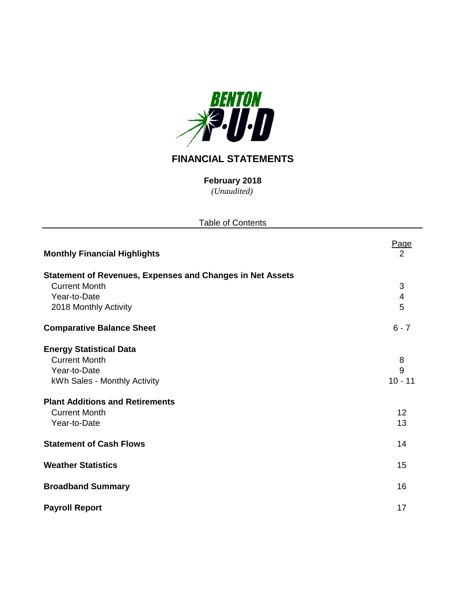

# **FINANCIAL STATEMENTS**

*(Unaudited)* **February 2018**

| <b>Table of Contents</b>                                         |                         |
|------------------------------------------------------------------|-------------------------|
| <b>Monthly Financial Highlights</b>                              | Page<br>$\overline{2}$  |
| <b>Statement of Revenues, Expenses and Changes in Net Assets</b> |                         |
| <b>Current Month</b>                                             | 3                       |
| Year-to-Date                                                     | $\overline{\mathbf{4}}$ |
| 2018 Monthly Activity                                            | 5                       |
| <b>Comparative Balance Sheet</b>                                 | $6 - 7$                 |
| <b>Energy Statistical Data</b>                                   |                         |
| <b>Current Month</b>                                             | 8                       |
| Year-to-Date                                                     | 9                       |
| kWh Sales - Monthly Activity                                     | $10 - 11$               |
| <b>Plant Additions and Retirements</b>                           |                         |
| <b>Current Month</b>                                             | 12                      |
| Year-to-Date                                                     | 13                      |
| <b>Statement of Cash Flows</b>                                   | 14                      |
| <b>Weather Statistics</b>                                        | 15                      |
| <b>Broadband Summary</b>                                         | 16                      |
| <b>Payroll Report</b>                                            | 17                      |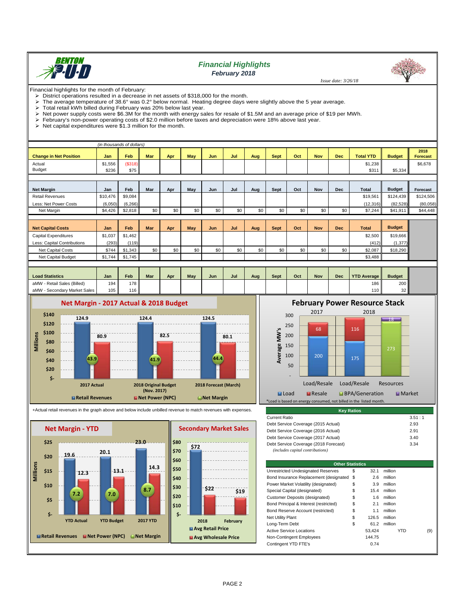

# *Financial Highlights February 2018*

 *Issue date: 3/26/18*

Financial highlights for the month of February:<br>  $\triangleright$  District operations resulted in a decrease

- District operations resulted in a decrease in net assets of \$318,000 for the month.<br>
In a verage temperature of 38.6° was 0.2° below normal. Heating degree days y The average temperature of 38.6° was 0.2° below normal. Heating degree days were slightly above the 5 year average.<br>> Total retail kWh billed during February was 20% below last year
- 
- $\triangleright$  Total retail kWh billed during February was 20% below last year.<br> $\triangleright$  Net power supply costs were \$6.3M for the month with energy sa
- $\triangleright$  Net power supply costs were \$6.3M for the month with energy sales for resale of \$1.5M and an average price of \$19 per MWh.<br> $\triangleright$  February's non-power operating costs of \$2.0 million before taxes and depreciation w February's non-power operating costs of \$2.0 million before taxes and depreciation were 18% above last year.<br>
> Net capital expenditures were \$1.3 million for the month.
- Net capital expenditures were \$1.3 million for the month.

|                               | (in thousands of dollars) |          |            |     |     |            |     |     |             |     |            |            |                  |               |                         |
|-------------------------------|---------------------------|----------|------------|-----|-----|------------|-----|-----|-------------|-----|------------|------------|------------------|---------------|-------------------------|
| <b>Change in Net Position</b> | Jan                       | Feb      | <b>Mar</b> | Apr | May | <b>Jun</b> | Jul | Aug | Sept        | Oct | <b>Nov</b> | Dec        | <b>Total YTD</b> | <b>Budget</b> | 2018<br><b>Forecast</b> |
| Actual                        | \$1,556                   | (S318)   |            |     |     |            |     |     |             |     |            |            | \$1,238          |               | \$6,678                 |
| Budget                        | \$236                     | \$75     |            |     |     |            |     |     |             |     |            |            | \$311            | \$5,334       |                         |
|                               |                           |          |            |     |     |            |     |     |             |     |            |            |                  |               |                         |
| <b>Net Margin</b>             | Jan                       | Feb      | Mar        | Apr | May | Jun        | Jul | Aug | Sept        | Oct | <b>Nov</b> | <b>Dec</b> | Total            | <b>Budget</b> | Forecast                |
| <b>Retail Revenues</b>        | \$10,476                  | \$9,084  |            |     |     |            |     |     |             |     |            |            | \$19,561         | \$124,439     | \$124,506               |
| Less: Net Power Costs         | (6,050)                   | (6, 266) |            |     |     |            |     |     |             |     |            |            | (12, 316)        | (82, 528)     | (80,058)                |
| Net Margin                    | \$4,426                   | \$2,818  | \$0        | \$0 | \$0 | \$0        | \$0 | \$0 | \$0         | \$0 | \$0        | \$0        | \$7,244          | \$41,911      | \$44,448                |
|                               |                           |          |            |     |     |            |     |     |             |     |            |            |                  |               |                         |
| <b>Net Capital Costs</b>      | Jan                       | Feb      | <b>Mar</b> | Apr | May | Jun        | Jul | Aug | <b>Sept</b> | Oct | <b>Nov</b> | <b>Dec</b> | <b>Total</b>     | <b>Budget</b> |                         |
| <b>Capital Expenditures</b>   | \$1,037                   | \$1,462  |            |     |     |            |     |     |             |     |            |            | \$2,500          | \$19,666      |                         |
| Less: Capital Contributions   | (293)                     | (119)    |            |     |     |            |     |     |             |     |            |            | (412)            | (1, 377)      |                         |
| <b>Net Capital Costs</b>      | \$744                     | \$1,343  | \$0        | \$0 | \$0 | \$0        | \$0 | \$0 | \$0         | \$0 | \$0        | \$0        | \$2,087          | \$18,290      |                         |
| Net Capital Budget            | \$1,744                   | \$1,745  |            |     |     |            |     |     |             |     |            |            | \$3,488          |               |                         |
|                               |                           |          |            |     |     |            |     |     |             |     |            |            |                  |               |                         |

| <b>Load Statistics</b>         | Jan | Feb | Mar | Apr | May | Jun | Jul | Aug | Sept | Oct | Nov | Dec | <b>YTD Average</b> | <b>Budget</b>    |
|--------------------------------|-----|-----|-----|-----|-----|-----|-----|-----|------|-----|-----|-----|--------------------|------------------|
| - Retail Sales (Billed)<br>aMW | 194 | 178 |     |     |     |     |     |     |      |     |     |     | 186                | 200 <sub>1</sub> |
| Secondary Market Sales<br>aMW  | 105 | 116 |     |     |     |     |     |     |      |     |     |     | 110 <sub>h</sub>   | ົ<br>ےں          |



+Actual retail revenues in the graph above and below include unbilled revenue to match revenues with expenses.





| <b>Key Ratios</b>                                                         |        |
|---------------------------------------------------------------------------|--------|
| <b>Current Ratio</b>                                                      | 3.51:1 |
| Debt Service Coverage (2015 Actual)                                       | 2.93   |
| Debt Service Coverage (2016 Actual)                                       | 2.91   |
| Debt Service Coverage (2017 Actual)                                       | 3.40   |
| Debt Service Coverage (2018 Forecast)<br>(includes capital contributions) | 3.34   |

| <b>Other Statistics</b>                   |    |        |         |     |
|-------------------------------------------|----|--------|---------|-----|
| Unrestricted Undesignated Reserves        | \$ | 32.1   | million |     |
| Bond Insurance Replacement (designated \$ |    | 2.6    | million |     |
| Power Market Volatility (designated)      | \$ | 3.9    | million |     |
| Special Capital (designated)              | \$ | 15.4   | million |     |
| Customer Deposits (designated)            | \$ | 1.6    | million |     |
| Bond Principal & Interest (restricted)    | \$ | 2.1    | million |     |
| Bond Reserve Account (restricted)         | \$ | 1.1    | million |     |
| <b>Net Utility Plant</b>                  | S  | 126.5  | million |     |
| Long-Term Debt                            | \$ | 61.2   | million |     |
| <b>Active Service Locations</b>           |    | 53.424 | YTD     | (9) |
| Non-Contingent Employees                  |    | 144.75 |         |     |
| Contingent YTD FTE's                      |    | 0.74   |         |     |
|                                           |    |        |         |     |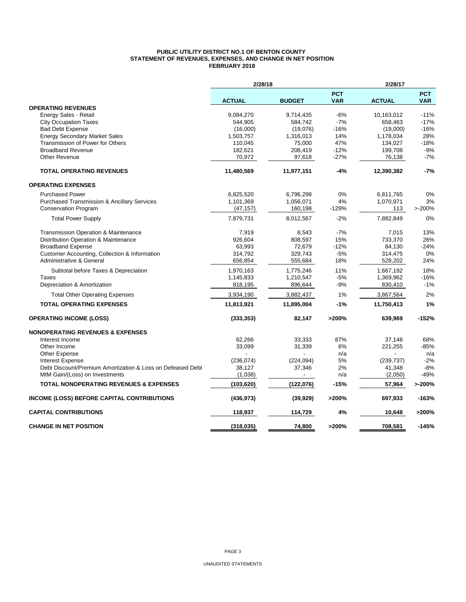#### **PUBLIC UTILITY DISTRICT NO.1 OF BENTON COUNTY STATEMENT OF REVENUES, EXPENSES, AND CHANGE IN NET POSITION FEBRUARY 2018**

|                                                            | 2/28/18       |               |                          | 2/28/17       |                          |
|------------------------------------------------------------|---------------|---------------|--------------------------|---------------|--------------------------|
|                                                            | <b>ACTUAL</b> | <b>BUDGET</b> | <b>PCT</b><br><b>VAR</b> | <b>ACTUAL</b> | <b>PCT</b><br><b>VAR</b> |
| <b>OPERATING REVENUES</b>                                  |               |               |                          |               |                          |
| Energy Sales - Retail                                      | 9,084,270     | 9,714,435     | -6%                      | 10,163,012    | $-11%$                   |
| <b>City Occupation Taxes</b>                               | 544,905       | 584,742       | $-7%$                    | 658,463       | $-17%$                   |
| <b>Bad Debt Expense</b>                                    | (16,000)      | (19,076)      | $-16%$                   | (19,000)      | $-16%$                   |
| <b>Energy Secondary Market Sales</b>                       | 1,503,757     | 1,316,013     | 14%                      | 1,178,034     | 28%                      |
| Transmission of Power for Others                           | 110,045       | 75,000        | 47%                      | 134,027       | $-18%$                   |
| <b>Broadband Revenue</b>                                   | 182,621       | 208,419       | $-12%$                   | 199,708       | $-9%$                    |
| <b>Other Revenue</b>                                       | 70,972        | 97,618        | $-27%$                   | 76,138        | $-7%$                    |
| <b>TOTAL OPERATING REVENUES</b>                            | 11,480,569    | 11,977,151    | $-4%$                    | 12,390,382    | $-7%$                    |
| <b>OPERATING EXPENSES</b>                                  |               |               |                          |               |                          |
| <b>Purchased Power</b>                                     | 6,825,520     | 6,796,298     | 0%                       | 6,811,765     | 0%                       |
| <b>Purchased Transmission &amp; Ancillary Services</b>     | 1,101,369     | 1,056,071     | 4%                       | 1,070,971     | 3%                       |
| <b>Conservation Program</b>                                | (47, 157)     | 160,198       | $-129%$                  | 113           | >200%                    |
| <b>Total Power Supply</b>                                  | 7,879,731     | 8,012,567     | $-2%$                    | 7,882,849     | 0%                       |
| Transmission Operation & Maintenance                       | 7,919         | 8,543         | $-7%$                    | 7,015         | 13%                      |
| Distribution Operation & Maintenance                       | 926,604       | 808,597       | 15%                      | 733.370       | 26%                      |
| <b>Broadband Expense</b>                                   | 63,993        | 72,679        | $-12%$                   | 84,130        | $-24%$                   |
| Customer Accounting, Collection & Information              | 314,792       | 329,743       | $-5%$                    | 314,475       | 0%                       |
| Administrative & General                                   | 656,854       | 555,684       | 18%                      | 528,202       | 24%                      |
| Subtotal before Taxes & Depreciation                       | 1,970,163     | 1,775,246     | 11%                      | 1,667,192     | 18%                      |
| <b>Taxes</b>                                               | 1,145,833     | 1,210,547     | $-5%$                    | 1,369,962     | $-16%$                   |
| Depreciation & Amortization                                | 818,195       | 896,644       | $-9%$                    | 830,410       | $-1%$                    |
| <b>Total Other Operating Expenses</b>                      | 3,934,190     | 3,882,437     | 1%                       | 3,867,564     | 2%                       |
| <b>TOTAL OPERATING EXPENSES</b>                            | 11,813,921    | 11,895,004    | -1%                      | 11,750,413    | 1%                       |
| <b>OPERATING INCOME (LOSS)</b>                             | (333, 353)    | 82,147        | >200%                    | 639,969       | $-152%$                  |
| <b>NONOPERATING REVENUES &amp; EXPENSES</b>                |               |               |                          |               |                          |
| Interest Income                                            | 62,266        | 33,333        | 87%                      | 37,148        | 68%                      |
| Other Income                                               | 33,099        | 31,339        | 6%                       | 221,255       | $-85%$                   |
| Other Expense                                              |               |               | n/a                      |               | n/a                      |
| <b>Interest Expense</b>                                    | (236, 074)    | (224, 094)    | 5%                       | (239, 737)    | $-2%$                    |
| Debt Discount/Premium Amortization & Loss on Defeased Debt | 38,127        | 37,346        | 2%                       | 41,348        | $-8%$<br>$-49%$          |
| MtM Gain/(Loss) on Investments                             | (1,038)       |               | n/a                      | (2,050)       |                          |
| <b>TOTAL NONOPERATING REVENUES &amp; EXPENSES</b>          | (103, 620)    | (122, 076)    | $-15%$                   | 57,964        | >200%                    |
| INCOME (LOSS) BEFORE CAPITAL CONTRIBUTIONS                 | (436, 973)    | (39, 929)     | >200%                    | 697,933       | -163%                    |
| <b>CAPITAL CONTRIBUTIONS</b>                               | 118,937       | 114,729       | 4%                       | 10,648        | >200%                    |
| <b>CHANGE IN NET POSITION</b>                              | (318, 035)    | 74.800        | >200%                    | 708.581       | $-145%$                  |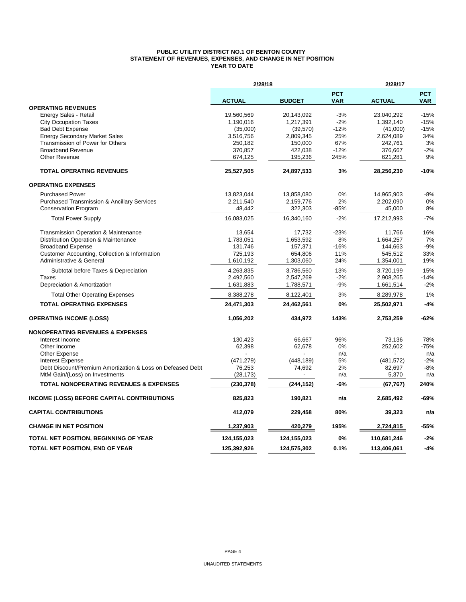#### **PUBLIC UTILITY DISTRICT NO.1 OF BENTON COUNTY STATEMENT OF REVENUES, EXPENSES, AND CHANGE IN NET POSITION YEAR TO DATE**

|                                                            | 2/28/18       |               |                          | 2/28/17       |                          |
|------------------------------------------------------------|---------------|---------------|--------------------------|---------------|--------------------------|
|                                                            | <b>ACTUAL</b> | <b>BUDGET</b> | <b>PCT</b><br><b>VAR</b> | <b>ACTUAL</b> | <b>PCT</b><br><b>VAR</b> |
| <b>OPERATING REVENUES</b>                                  |               |               |                          |               |                          |
| Energy Sales - Retail                                      | 19,560,569    | 20,143,092    | $-3%$                    | 23,040,292    | $-15%$                   |
| <b>City Occupation Taxes</b>                               | 1,190,016     | 1,217,391     | $-2%$                    | 1,392,140     | $-15%$                   |
| <b>Bad Debt Expense</b>                                    | (35,000)      | (39, 570)     | $-12%$                   | (41,000)      | $-15%$                   |
| <b>Energy Secondary Market Sales</b>                       | 3,516,756     | 2,809,345     | 25%                      | 2,624,089     | 34%                      |
| Transmission of Power for Others                           | 250,182       | 150,000       | 67%                      | 242,761       | 3%                       |
| <b>Broadband Revenue</b>                                   | 370,857       | 422,038       | $-12%$                   | 376,667       | $-2%$                    |
| <b>Other Revenue</b>                                       | 674,125       | 195,236       | 245%                     | 621,281       | 9%                       |
| <b>TOTAL OPERATING REVENUES</b>                            | 25,527,505    | 24,897,533    | 3%                       | 28,256,230    | $-10%$                   |
| <b>OPERATING EXPENSES</b>                                  |               |               |                          |               |                          |
| <b>Purchased Power</b>                                     | 13,823,044    | 13,858,080    | 0%                       | 14,965,903    | $-8%$                    |
| <b>Purchased Transmission &amp; Ancillary Services</b>     | 2,211,540     | 2,159,776     | 2%                       | 2,202,090     | 0%                       |
| <b>Conservation Program</b>                                | 48,442        | 322,303       | -85%                     | 45,000        | 8%                       |
| <b>Total Power Supply</b>                                  | 16,083,025    | 16,340,160    | $-2%$                    | 17,212,993    | $-7%$                    |
| <b>Transmission Operation &amp; Maintenance</b>            | 13,654        | 17,732        | $-23%$                   | 11,766        | 16%                      |
| Distribution Operation & Maintenance                       | 1,783,051     | 1,653,592     | 8%                       | 1,664,257     | 7%                       |
| <b>Broadband Expense</b>                                   | 131,746       | 157,371       | $-16%$                   | 144,663       | $-9%$                    |
| Customer Accounting, Collection & Information              | 725,193       | 654,806       | 11%                      | 545,512       | 33%                      |
| <b>Administrative &amp; General</b>                        | 1,610,192     | 1,303,060     | 24%                      | 1,354,001     | 19%                      |
| Subtotal before Taxes & Depreciation                       | 4,263,835     | 3,786,560     | 13%                      | 3,720,199     | 15%                      |
| Taxes                                                      | 2,492,560     | 2,547,269     | $-2%$                    | 2,908,265     | $-14%$                   |
| Depreciation & Amortization                                | 1,631,883     | 1,788,571     | $-9%$                    | 1,661,514     | $-2%$                    |
| <b>Total Other Operating Expenses</b>                      | 8,388,278     | 8,122,401     | 3%                       | 8,289,978     | 1%                       |
| <b>TOTAL OPERATING EXPENSES</b>                            | 24,471,303    | 24,462,561    | 0%                       | 25,502,971    | $-4%$                    |
| <b>OPERATING INCOME (LOSS)</b>                             | 1,056,202     | 434,972       | 143%                     | 2,753,259     | $-62%$                   |
| <b>NONOPERATING REVENUES &amp; EXPENSES</b>                |               |               |                          |               |                          |
| Interest Income                                            | 130,423       | 66,667        | 96%                      | 73,136        | 78%                      |
| Other Income                                               | 62,398        | 62,678        | 0%                       | 252,602       | $-75%$                   |
| <b>Other Expense</b>                                       |               |               | n/a                      |               | n/a                      |
| <b>Interest Expense</b>                                    | (471, 279)    | (448, 189)    | 5%                       | (481, 572)    | $-2%$                    |
| Debt Discount/Premium Amortization & Loss on Defeased Debt | 76,253        | 74,692        | 2%                       | 82,697        | $-8%$                    |
| MtM Gain/(Loss) on Investments                             | (28, 173)     |               | n/a                      | 5,370         | n/a                      |
| <b>TOTAL NONOPERATING REVENUES &amp; EXPENSES</b>          | (230, 378)    | (244, 152)    | -6%                      | (67, 767)     | 240%                     |
| <b>INCOME (LOSS) BEFORE CAPITAL CONTRIBUTIONS</b>          | 825,823       | 190,821       | n/a                      | 2,685,492     | $-69%$                   |
| <b>CAPITAL CONTRIBUTIONS</b>                               | 412,079       | 229,458       | 80%                      | 39,323        | n/a                      |
| <b>CHANGE IN NET POSITION</b>                              | 1,237,903     | 420,279       | 195%                     | 2,724,815     | -55%                     |
| TOTAL NET POSITION, BEGINNING OF YEAR                      | 124,155,023   | 124,155,023   | 0%                       | 110,681,246   | $-2%$                    |
| TOTAL NET POSITION, END OF YEAR                            | 125,392,926   | 124,575,302   | 0.1%                     | 113,406,061   | $-4%$                    |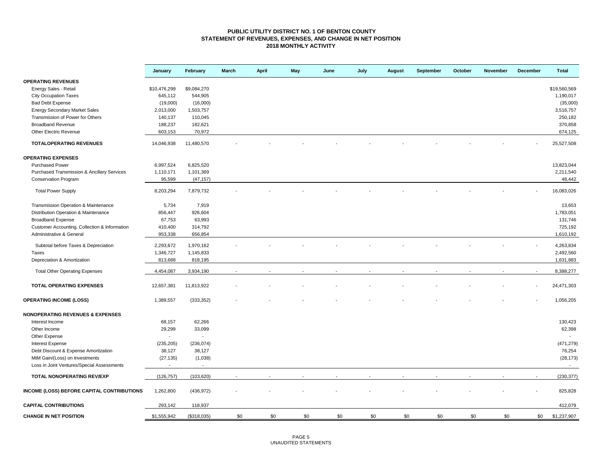#### **PUBLIC UTILITY DISTRICT NO. 1 OF BENTON COUNTY STATEMENT OF REVENUES, EXPENSES, AND CHANGE IN NET POSITION 2018 MONTHLY ACTIVITY**

|                                                   | January                  | February       | <b>March</b> | <b>April</b> | May | June | July | August | September | October | November | December | <b>Total</b> |
|---------------------------------------------------|--------------------------|----------------|--------------|--------------|-----|------|------|--------|-----------|---------|----------|----------|--------------|
| <b>OPERATING REVENUES</b>                         |                          |                |              |              |     |      |      |        |           |         |          |          |              |
| Energy Sales - Retail                             | \$10,476,299             | \$9,084,270    |              |              |     |      |      |        |           |         |          |          | \$19,560,569 |
| <b>City Occupation Taxes</b>                      | 645,112                  | 544,905        |              |              |     |      |      |        |           |         |          |          | 1,190,017    |
| <b>Bad Debt Expense</b>                           | (19,000)                 | (16,000)       |              |              |     |      |      |        |           |         |          |          | (35,000)     |
| <b>Energy Secondary Market Sales</b>              | 2,013,000                | 1,503,757      |              |              |     |      |      |        |           |         |          |          | 3,516,757    |
| Transmission of Power for Others                  | 140,137                  | 110,045        |              |              |     |      |      |        |           |         |          |          | 250,182      |
| <b>Broadband Revenue</b>                          | 188,237                  | 182,621        |              |              |     |      |      |        |           |         |          |          | 370,858      |
| Other Electric Revenue                            | 603,153                  | 70,972         |              |              |     |      |      |        |           |         |          |          | 674,125      |
| <b>TOTALOPERATING REVENUES</b>                    | 14,046,938               | 11,480,570     |              |              |     |      |      |        |           |         |          |          | 25,527,508   |
| <b>OPERATING EXPENSES</b>                         |                          |                |              |              |     |      |      |        |           |         |          |          |              |
| <b>Purchased Power</b>                            | 6,997,524                | 6,825,520      |              |              |     |      |      |        |           |         |          |          | 13,823,044   |
| Purchased Transmission & Ancillary Services       | 1,110,171                | 1,101,369      |              |              |     |      |      |        |           |         |          |          | 2,211,540    |
| <b>Conservation Program</b>                       | 95,599                   | (47, 157)      |              |              |     |      |      |        |           |         |          |          | 48,442       |
|                                                   |                          |                |              |              |     |      |      |        |           |         |          |          |              |
| <b>Total Power Supply</b>                         | 8,203,294                | 7,879,732      |              |              |     |      |      |        |           |         |          |          | 16,083,026   |
| Transmission Operation & Maintenance              | 5,734                    | 7,919          |              |              |     |      |      |        |           |         |          |          | 13,653       |
| Distribution Operation & Maintenance              | 856,447                  | 926,604        |              |              |     |      |      |        |           |         |          |          | 1,783,051    |
| <b>Broadband Expense</b>                          | 67,753                   | 63,993         |              |              |     |      |      |        |           |         |          |          | 131,746      |
| Customer Accounting, Collection & Information     | 410,400                  | 314,792        |              |              |     |      |      |        |           |         |          |          | 725,192      |
| Administrative & General                          | 953,338                  | 656,854        |              |              |     |      |      |        |           |         |          |          | 1,610,192    |
|                                                   |                          |                |              |              |     |      |      |        |           |         |          |          |              |
| Subtotal before Taxes & Depreciation              | 2,293,672                | 1,970,162      |              |              |     |      |      |        |           |         |          |          | 4,263,834    |
| Taxes                                             | 1,346,727                | 1,145,833      |              |              |     |      |      |        |           |         |          |          | 2,492,560    |
| Depreciation & Amortization                       | 813,688                  | 818,195        |              |              |     |      |      |        |           |         |          |          | 1,631,883    |
| <b>Total Other Operating Expenses</b>             | 4,454,087                | 3,934,190      |              |              |     |      |      |        |           |         |          |          | 8,388,277    |
| TOTAL OPERATING EXPENSES                          | 12,657,381               | 11,813,922     |              |              |     |      |      |        |           |         |          |          | 24,471,303   |
| <b>OPERATING INCOME (LOSS)</b>                    | 1,389,557                | (333, 352)     |              |              |     |      |      |        |           |         |          |          | 1,056,205    |
| <b>NONOPERATING REVENUES &amp; EXPENSES</b>       |                          |                |              |              |     |      |      |        |           |         |          |          |              |
| Interest Income                                   | 68,157                   | 62,266         |              |              |     |      |      |        |           |         |          |          | 130,423      |
| Other Income                                      | 29,299                   | 33,099         |              |              |     |      |      |        |           |         |          |          | 62,398       |
| Other Expense                                     | $\overline{\phantom{a}}$ | $\blacksquare$ |              |              |     |      |      |        |           |         |          |          |              |
| <b>Interest Expense</b>                           | (235, 205)               | (236, 074)     |              |              |     |      |      |        |           |         |          |          | (471, 279)   |
| Debt Discount & Expense Amortization              | 38,127                   | 38,127         |              |              |     |      |      |        |           |         |          |          | 76,254       |
| MtM Gain/(Loss) on Investments                    | (27, 135)                | (1,038)        |              |              |     |      |      |        |           |         |          |          | (28, 173)    |
| Loss in Joint Ventures/Special Assessments        | $\blacksquare$           | $\sim$         |              |              |     |      |      |        |           |         |          |          | $\sim$       |
| TOTAL NONOPERATING REV/EXP                        | (126, 757)               | (103, 620)     |              |              |     |      |      |        |           |         |          |          | (230, 377)   |
| <b>INCOME (LOSS) BEFORE CAPITAL CONTRIBUTIONS</b> | 1,262,800                | (436, 972)     |              |              |     |      |      |        |           |         |          |          | 825,828      |
| <b>CAPITAL CONTRIBUTIONS</b>                      | 293.142                  | 118,937        |              |              |     |      |      |        |           |         |          |          | 412,079      |
| <b>CHANGE IN NET POSITION</b>                     | \$1,555,942              | (\$318,035)    | \$0          | \$0          | \$0 | \$0  | \$0  | \$0    | \$0       | \$0     | \$0      | \$0      | \$1,237,907  |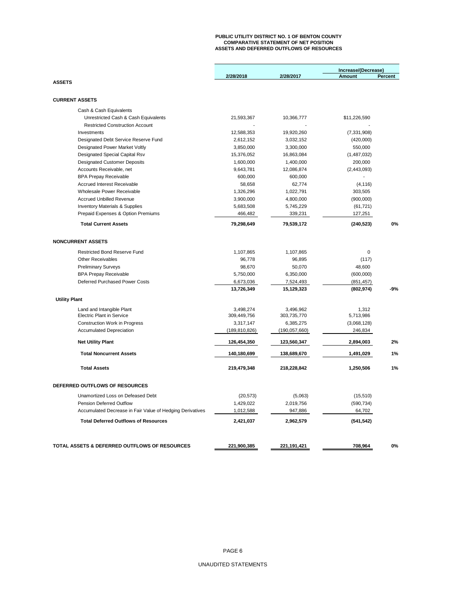# **PUBLIC UTILITY DISTRICT NO. 1 OF BENTON COUNTY COMPARATIVE STATEMENT OF NET POSITION ASSETS AND DEFERRED OUTFLOWS OF RESOURCES**

|                                                           |                 |                 | Increase/(Decrease) |                |
|-----------------------------------------------------------|-----------------|-----------------|---------------------|----------------|
|                                                           | 2/28/2018       | 2/28/2017       | Amount              | <b>Percent</b> |
| <b>ASSETS</b>                                             |                 |                 |                     |                |
| <b>CURRENT ASSETS</b>                                     |                 |                 |                     |                |
| Cash & Cash Equivalents                                   |                 |                 |                     |                |
| Unrestricted Cash & Cash Equivalents                      | 21,593,367      | 10,366,777      | \$11,226,590        |                |
| <b>Restricted Construction Account</b>                    |                 |                 |                     |                |
| Investments                                               | 12,588,353      | 19,920,260      | (7, 331, 908)       |                |
| Designated Debt Service Reserve Fund                      | 2,612,152       | 3,032,152       | (420,000)           |                |
| Designated Power Market Voltly                            | 3,850,000       | 3,300,000       | 550,000             |                |
| Designated Special Capital Rsv                            | 15,376,052      | 16,863,084      | (1,487,032)         |                |
| <b>Designated Customer Deposits</b>                       | 1,600,000       | 1,400,000       | 200,000             |                |
| Accounts Receivable, net                                  | 9,643,781       | 12,086,874      | (2,443,093)         |                |
| <b>BPA Prepay Receivable</b>                              | 600,000         | 600,000         |                     |                |
| <b>Accrued Interest Receivable</b>                        | 58,658          | 62,774          | (4, 116)            |                |
| Wholesale Power Receivable                                | 1,326,296       | 1,022,791       | 303,505             |                |
| <b>Accrued Unbilled Revenue</b>                           | 3,900,000       | 4,800,000       | (900,000)           |                |
| <b>Inventory Materials &amp; Supplies</b>                 | 5,683,508       | 5,745,229       | (61, 721)           |                |
| Prepaid Expenses & Option Premiums                        | 466,482         | 339,231         | 127,251             |                |
| <b>Total Current Assets</b>                               | 79,298,649      | 79,539,172      | (240, 523)          | 0%             |
| <b>NONCURRENT ASSETS</b>                                  |                 |                 |                     |                |
| <b>Restricted Bond Reserve Fund</b>                       | 1,107,865       | 1,107,865       | 0                   |                |
| <b>Other Receivables</b>                                  | 96,778          | 96,895          | (117)               |                |
| <b>Preliminary Surveys</b>                                | 98,670          | 50,070          | 48,600              |                |
| <b>BPA Prepay Receivable</b>                              | 5,750,000       | 6,350,000       | (600,000)           |                |
| Deferred Purchased Power Costs                            | 6,673,036       | 7,524,493       | (851, 457)          |                |
|                                                           | 13,726,349      | 15,129,323      | (802, 974)          | -9%            |
| <b>Utility Plant</b>                                      |                 |                 |                     |                |
| Land and Intangible Plant                                 | 3,498,274       | 3,496,962       | 1,312               |                |
| <b>Electric Plant in Service</b>                          | 309,449,756     | 303,735,770     | 5,713,986           |                |
| <b>Construction Work in Progress</b>                      | 3,317,147       | 6,385,275       | (3,068,128)         |                |
| <b>Accumulated Depreciation</b>                           | (189, 810, 826) | (190, 057, 660) | 246,834             |                |
| <b>Net Utility Plant</b>                                  | 126,454,350     | 123,560,347     | 2,894,003           | 2%             |
| <b>Total Noncurrent Assets</b>                            | 140,180,699     | 138,689,670     | 1,491,029           | 1%             |
| <b>Total Assets</b>                                       | 219,479,348     | 218,228,842     | 1,250,506           | 1%             |
| DEFERRED OUTFLOWS OF RESOURCES                            |                 |                 |                     |                |
| Unamortized Loss on Defeased Debt                         | (20, 573)       | (5,063)         | (15,510)            |                |
| <b>Pension Deferred Outflow</b>                           | 1,429,022       | 2,019,756       | (590, 734)          |                |
| Accumulated Decrease in Fair Value of Hedging Derivatives | 1,012,588       | 947,886         | 64,702              |                |
| <b>Total Deferred Outflows of Resources</b>               | 2,421,037       | 2,962,579       | (541, 542)          |                |
|                                                           |                 |                 |                     |                |
| TOTAL ASSETS & DEFERRED OUTFLOWS OF RESOURCES             | 221,900,385     | 221,191,421     | 708,964             | 0%             |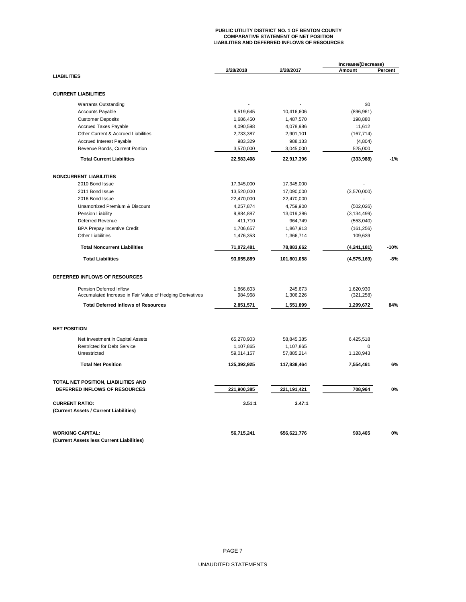# **PUBLIC UTILITY DISTRICT NO. 1 OF BENTON COUNTY COMPARATIVE STATEMENT OF NET POSITION LIABILITIES AND DEFERRED INFLOWS OF RESOURCES**

|                                                           |                         |                         | Increase/(Decrease) |         |  |
|-----------------------------------------------------------|-------------------------|-------------------------|---------------------|---------|--|
| <b>LIABILITIES</b>                                        | 2/28/2018               | 2/28/2017               | Amount              | Percent |  |
|                                                           |                         |                         |                     |         |  |
| <b>CURRENT LIABILITIES</b>                                |                         |                         |                     |         |  |
| <b>Warrants Outstanding</b>                               |                         |                         | \$0                 |         |  |
| <b>Accounts Payable</b>                                   | 9,519,645               | 10,416,606              | (896, 961)          |         |  |
| <b>Customer Deposits</b>                                  | 1,686,450               | 1,487,570               | 198,880             |         |  |
| <b>Accrued Taxes Payable</b>                              | 4,090,598               | 4,078,986               | 11,612              |         |  |
| Other Current & Accrued Liabilities                       | 2,733,387               | 2,901,101               | (167, 714)          |         |  |
| Accrued Interest Payable                                  | 983,329                 | 988,133                 | (4,804)             |         |  |
| Revenue Bonds, Current Portion                            | 3,570,000               | 3,045,000               | 525,000             |         |  |
| <b>Total Current Liabilities</b>                          | 22,583,408              | 22,917,396              | (333,988)           | $-1%$   |  |
| <b>NONCURRENT LIABILITIES</b>                             |                         |                         |                     |         |  |
| 2010 Bond Issue                                           | 17,345,000              | 17,345,000              |                     |         |  |
| 2011 Bond Issue                                           | 13,520,000              | 17,090,000              | (3,570,000)         |         |  |
| 2016 Bond Issue                                           | 22,470,000              | 22,470,000              |                     |         |  |
| Unamortized Premium & Discount                            | 4,257,874               | 4,759,900               | (502, 026)          |         |  |
| Pension Liability                                         | 9,884,887               | 13,019,386              | (3, 134, 499)       |         |  |
| <b>Deferred Revenue</b>                                   | 411,710                 | 964,749                 | (553,040)           |         |  |
| <b>BPA Prepay Incentive Credit</b>                        | 1,706,657               |                         |                     |         |  |
| <b>Other Liabilities</b>                                  |                         | 1,867,913               | (161, 256)          |         |  |
|                                                           | 1,476,353               | 1,366,714               | 109,639             |         |  |
| <b>Total Noncurrent Liabilities</b>                       | 71,072,481              | 78,883,662              | (4,241,181)         | $-10%$  |  |
| <b>Total Liabilities</b>                                  | 93,655,889              | 101,801,058             | (4, 575, 169)       | $-8%$   |  |
| DEFERRED INFLOWS OF RESOURCES                             |                         |                         |                     |         |  |
| Pension Deferred Inflow                                   | 1,866,603               | 245,673                 | 1,620,930           |         |  |
| Accumulated Increase in Fair Value of Hedging Derivatives | 984,968                 | 1,306,226               | (321, 258)          |         |  |
| <b>Total Deferred Inflows of Resources</b>                | 2,851,571               | 1,551,899               | 1,299,672           | 84%     |  |
| <b>NET POSITION</b>                                       |                         |                         |                     |         |  |
|                                                           |                         |                         |                     |         |  |
| Net Investment in Capital Assets                          | 65,270,903              | 58,845,385              | 6,425,518           |         |  |
| <b>Restricted for Debt Service</b><br>Unrestricted        | 1,107,865<br>59,014,157 | 1,107,865<br>57,885,214 | 0<br>1,128,943      |         |  |
| <b>Total Net Position</b>                                 | 125,392,925             | 117,838,464             | 7,554,461           | 6%      |  |
|                                                           |                         |                         |                     |         |  |
| TOTAL NET POSITION, LIABILITIES AND                       |                         |                         |                     |         |  |
| DEFERRED INFLOWS OF RESOURCES                             | 221,900,385             | 221, 191, 421           | 708,964             | 0%      |  |
| <b>CURRENT RATIO:</b>                                     | 3.51:1                  | 3.47:1                  |                     |         |  |
| (Current Assets / Current Liabilities)                    |                         |                         |                     |         |  |
| <b>WORKING CAPITAL:</b>                                   | 56,715,241              | \$56,621,776            | \$93,465            | 0%      |  |
| (Current Assets less Current Liabilities)                 |                         |                         |                     |         |  |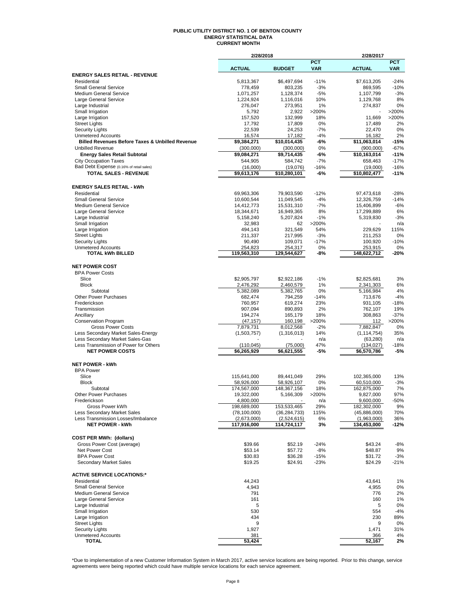#### **PUBLIC UTILITY DISTRICT NO. 1 OF BENTON COUNTY ENERGY STATISTICAL DATA CURRENT MONTH**

|                                                                       | 2/28/2018                  |                            |                          | 2/28/2017                  |                          |
|-----------------------------------------------------------------------|----------------------------|----------------------------|--------------------------|----------------------------|--------------------------|
|                                                                       | <b>ACTUAL</b>              | <b>BUDGET</b>              | <b>PCT</b><br><b>VAR</b> | <b>ACTUAL</b>              | <b>PCT</b><br><b>VAR</b> |
| <b>ENERGY SALES RETAIL - REVENUE</b>                                  |                            |                            |                          |                            |                          |
| Residential                                                           | 5,813,367                  | \$6,497,694                | $-11%$                   | \$7,613,205                | $-24%$                   |
| <b>Small General Service</b>                                          | 778,459                    | 803,235                    | $-3%$                    | 869,595                    | $-10%$                   |
| <b>Medium General Service</b><br>Large General Service                | 1,071,257<br>1,224,924     | 1,128,374<br>1,116,016     | $-5%$<br>10%             | 1,107,799<br>1,129,768     | $-3%$<br>8%              |
| Large Industrial                                                      | 276,047                    | 273,951                    | 1%                       | 274,837                    | 0%                       |
| Small Irrigation                                                      | 5,792                      | 2,922                      | >200%                    |                            | >200%                    |
| Large Irrigation                                                      | 157,520                    | 132,999                    | 18%                      | 11,669                     | >200%                    |
| <b>Street Lights</b>                                                  | 17,792                     | 17,809                     | 0%                       | 17,489                     | 2%                       |
| <b>Security Lights</b><br><b>Unmetered Accounts</b>                   | 22,539<br>16,574           | 24,253<br>17,182           | $-7%$<br>$-4%$           | 22,470<br>16,182           | 0%<br>2%                 |
| <b>Billed Revenues Before Taxes &amp; Unbilled Revenue</b>            | \$9,384,271                | \$10,014,435               | -6%                      | \$11,063,014               | $-15%$                   |
| <b>Unbilled Revenue</b>                                               | (300,000)                  | (300,000)                  | 0%                       | (900,000)                  | $-67%$                   |
| <b>Energy Sales Retail Subtotal</b>                                   | \$9,084,271                | \$9,714,435                | -6%                      | \$10,163,014               | $-11%$                   |
| <b>City Occupation Taxes</b>                                          | 544,905                    | 584,742                    | $-7%$                    | 658,463                    | $-17%$                   |
| Bad Debt Expense (0.16% of retail sales)                              | (16,000)                   | (19,076)                   | $-16%$                   | (19,000)                   | $-16%$                   |
| <b>TOTAL SALES - REVENUE</b>                                          | \$9,613,176                | \$10,280,101               | -6%                      | \$10,802,477               | $-11%$                   |
|                                                                       |                            |                            |                          |                            |                          |
| <b>ENERGY SALES RETAIL - kWh</b><br>Residential                       | 69,963,306                 | 79,903,590                 | $-12%$                   | 97,473,618                 | $-28%$                   |
| <b>Small General Service</b>                                          | 10,600,544                 | 11,049,545                 | $-4%$                    | 12,326,759                 | $-14%$                   |
| <b>Medium General Service</b>                                         | 14,412,773                 | 15,531,310                 | $-7%$                    | 15,406,899                 | $-6%$                    |
| Large General Service                                                 | 18,344,671                 | 16,949,365                 | 8%                       | 17,299,889                 | 6%                       |
| Large Industrial                                                      | 5,158,240                  | 5,207,824                  | $-1%$                    | 5,319,830                  | $-3%$                    |
| Small Irrigation                                                      | 32,983                     | 62                         | >200%                    |                            | n/a                      |
| Large Irrigation                                                      | 494,143                    | 321,549                    | 54%                      | 229,629                    | 115%                     |
| <b>Street Lights</b>                                                  | 211,337                    | 217,995                    | $-3%$                    | 211,253                    | 0%                       |
| <b>Security Lights</b><br><b>Unmetered Accounts</b>                   | 90,490<br>254,823          | 109,071<br>254,317         | $-17%$<br>0%             | 100,920<br>253,915         | $-10%$<br>0%             |
| <b>TOTAL kWh BILLED</b>                                               | 119,563,310                | 129,544,627                | -8%                      | 148,622,712                | -20%                     |
|                                                                       |                            |                            |                          |                            |                          |
| <b>NET POWER COST</b>                                                 |                            |                            |                          |                            |                          |
| <b>BPA Power Costs</b>                                                |                            |                            |                          |                            |                          |
| Slice                                                                 | \$2,905,797                | \$2,922,186                | $-1%$                    | \$2,825,681                | 3%                       |
| <b>Block</b><br>Subtotal                                              | 2,476,292                  | 2,460,579                  | 1%                       | 2,341,303                  | 6%<br>4%                 |
| <b>Other Power Purchases</b>                                          | 5,382,089<br>682,474       | 5,382,765<br>794,259       | 0%<br>$-14%$             | 5,166,984<br>713,676       | $-4%$                    |
| Frederickson                                                          | 760,957                    | 619,274                    | 23%                      | 931,105                    | $-18%$                   |
| Transmission                                                          | 907,094                    | 890,893                    | 2%                       | 762,107                    | 19%                      |
| Ancillary                                                             | 194,274                    | 165,179                    | 18%                      | 308,863                    | $-37%$                   |
| <b>Conservation Program</b>                                           | (47, 157)                  | 160,198                    | >200%                    | 112                        | >200%                    |
| <b>Gross Power Costs</b>                                              | 7,879,731                  | 8,012,568                  | $-2%$                    | 7,882,847                  | 0%                       |
| Less Secondary Market Sales-Energy<br>Less Secondary Market Sales-Gas | (1,503,757)                | (1,316,013)                | 14%<br>n/a               | (1, 114, 754)<br>(63, 280) | 35%<br>n/a               |
| Less Transmission of Power for Others                                 | (110, 045)                 | (75,000)                   | 47%                      | (134, 027)                 | $-18%$                   |
| <b>NET POWER COSTS</b>                                                | \$6,265,929                | \$6,621,555                | -5%                      | \$6,570,786                | $-5%$                    |
|                                                                       |                            |                            |                          |                            |                          |
| <b>NET POWER - kWh</b>                                                |                            |                            |                          |                            |                          |
| <b>BPA Power</b>                                                      |                            |                            |                          |                            |                          |
| Slice<br><b>Block</b>                                                 | 115,641,000<br>58,926,000  | 89,441,049<br>58,926,107   | 29%<br>0%                | 102,365,000<br>60,510,000  | 13%<br>$-3%$             |
| Subtotal                                                              | 174.567.000                | 148,367,156                | 18%                      | 162,875,000                | 7%                       |
| <b>Other Power Purchases</b>                                          | 19,322,000                 | 5,166,309                  | 200%                     | 9,827,000                  | 97%                      |
| Frederickson                                                          | 4,800,000                  |                            | n/a                      | 9,600,000                  | $-50%$                   |
| Gross Power kWh                                                       | 198,689,000                | 153,533,465                | 29%                      | 182,302,000                | 9%                       |
| Less Secondary Market Sales                                           | (78, 100, 000)             | (36, 284, 733)             | 115%                     | (45,886,000)               | 70%                      |
| Less Transmission Losses/Imbalance<br><b>NET POWER - kWh</b>          | (2,673,000)<br>117,916,000 | (2,524,615)<br>114,724,117 | 6%<br>3%                 | (1,963,000)<br>134,453,000 | 36%<br>-12%              |
|                                                                       |                            |                            |                          |                            |                          |
| <b>COST PER MWh: (dollars)</b>                                        |                            |                            |                          |                            |                          |
| Gross Power Cost (average)                                            | \$39.66                    | \$52.19                    | $-24%$                   | \$43.24                    | -8%                      |
| Net Power Cost                                                        | \$53.14                    | \$57.72                    | $-8%$                    | \$48.87                    | 9%                       |
| <b>BPA Power Cost</b>                                                 | \$30.83                    | \$36.28                    | $-15%$                   | \$31.72                    | $-3%$                    |
| Secondary Market Sales                                                | \$19.25                    | \$24.91                    | $-23%$                   | \$24.29                    | -21%                     |
| <b>ACTIVE SERVICE LOCATIONS:*</b>                                     |                            |                            |                          |                            |                          |
| Residential                                                           | 44,243                     |                            |                          | 43,641                     | 1%                       |
| <b>Small General Service</b>                                          | 4,943                      |                            |                          | 4,955                      | 0%                       |
| Medium General Service                                                | 791                        |                            |                          | 776                        | 2%                       |
| Large General Service                                                 | 161                        |                            |                          | 160                        | 1%                       |
| Large Industrial                                                      | 5                          |                            |                          | 5                          | 0%                       |
| Small Irrigation                                                      | 530                        |                            |                          | 554                        | -4%                      |
| Large Irrigation<br><b>Street Lights</b>                              | 434<br>9                   |                            |                          | 230<br>9                   | 89%                      |
| <b>Security Lights</b>                                                | 1,927                      |                            |                          | 1,471                      | 0%<br>31%                |
| <b>Unmetered Accounts</b>                                             | 381                        |                            |                          | 366                        | 4%                       |
| <b>TOTAL</b>                                                          | 53,424                     |                            |                          | 52,167                     | 2%                       |

\*Due to implementation of a new Customer Information System in March 2017, active service locations are being reported. Prior to this change, service<br>agreements were being reported which could have multiple service locatio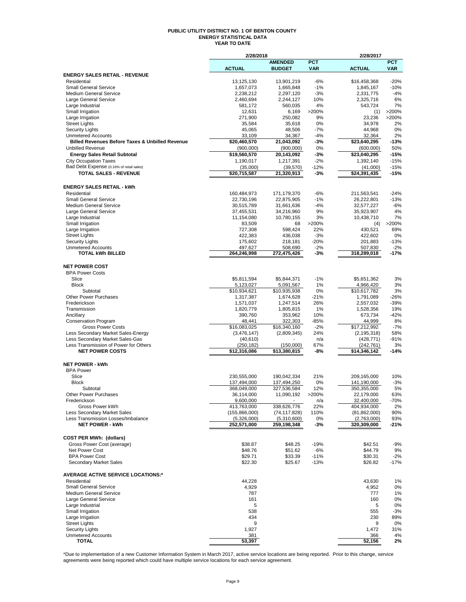#### **PUBLIC UTILITY DISTRICT NO. 1 OF BENTON COUNTY ENERGY STATISTICAL DATA YEAR TO DATE**

|                                                                                       | 2/28/2018                    |                                 |              | 2/28/2017                     |               |
|---------------------------------------------------------------------------------------|------------------------------|---------------------------------|--------------|-------------------------------|---------------|
|                                                                                       | <b>ACTUAL</b>                | <b>AMENDED</b><br><b>BUDGET</b> | <b>PCT</b>   | <b>ACTUAL</b>                 | <b>PCT</b>    |
| <b>ENERGY SALES RETAIL - REVENUE</b>                                                  |                              |                                 | <b>VAR</b>   |                               | <b>VAR</b>    |
| Residential                                                                           | 13,125,130                   | 13,901,219                      | $-6%$        | \$16,458,368                  | $-20%$        |
| <b>Small General Service</b>                                                          | 1,657,073                    | 1,665,848                       | $-1%$        | 1,845,167                     | $-10%$        |
| <b>Medium General Service</b>                                                         | 2,238,212                    | 2,297,120                       | $-3%$        | 2,331,775                     | $-4%$         |
| Large General Service                                                                 | 2,460,694                    | 2,244,127                       | 10%          | 2,325,716                     | 6%            |
| Large Industrial<br>Small Irrigation                                                  | 581,172<br>12,631            | 560,035<br>6,169                | 4%<br>>200%  | 543,724<br>(1)                | 7%<br>>200%   |
| Large Irrigation                                                                      | 271,900                      | 250,082                         | 9%           | 23,236                        | >200%         |
| <b>Street Lights</b>                                                                  | 35,584                       | 35,618                          | 0%           | 34,978                        | 2%            |
| <b>Security Lights</b>                                                                | 45,065                       | 48,506                          | $-7%$        | 44,968                        | 0%            |
| <b>Unmetered Accounts</b>                                                             | 33,109                       | 34,367                          | $-4%$        | 32,364                        | 2%            |
| <b>Billed Revenues Before Taxes &amp; Unbilled Revenue</b><br><b>Unbilled Revenue</b> | \$20,460,570                 | 21,043,092                      | -3%          | \$23,640,295                  | $-13%$        |
| <b>Energy Sales Retail Subtotal</b>                                                   | (900,000)<br>\$19,560,570    | (900,000)<br>20,143,092         | 0%<br>$-3%$  | (600,000)<br>\$23,040,295     | 50%<br>$-15%$ |
| <b>City Occupation Taxes</b>                                                          | 1,190,017                    | 1,217,391                       | $-2%$        | 1,392,140                     | $-15%$        |
| Bad Debt Expense (0.16% of retail sales)                                              | (35,000)                     | (39, 570)                       | $-12%$       | (41,000)                      | $-15%$        |
| <b>TOTAL SALES - REVENUE</b>                                                          | \$20,715,587                 | 21,320,913                      | -3%          | \$24,391,435                  | $-15%$        |
| <b>ENERGY SALES RETAIL - kWh</b>                                                      |                              |                                 |              |                               |               |
| Residential                                                                           | 160,484,973                  | 171,179,370                     | $-6%$        | 211,563,541                   | $-24%$        |
| <b>Small General Service</b>                                                          | 22,730,196                   | 22,875,905                      | $-1%$        | 26,222,801                    | $-13%$        |
| <b>Medium General Service</b>                                                         | 30,515,789                   | 31,661,636                      | $-4%$        | 32,577,227                    | $-6%$         |
| Large General Service                                                                 | 37,455,531                   | 34,216,960                      | 9%           | 35,923,907                    | 4%            |
| Large Industrial                                                                      | 11,154,080                   | 10,780,155                      | 3%           | 10,438,710                    | 7%            |
| Small Irrigation                                                                      | 83,509                       | 68                              | >200%        | (4)                           | >200%         |
| Large Irrigation<br><b>Street Lights</b>                                              | 727,308<br>422,383           | 598,424<br>436,038              | 22%<br>$-3%$ | 430,521<br>422,602            | 69%<br>0%     |
| <b>Security Lights</b>                                                                | 175,602                      | 218,181                         | $-20%$       | 201,883                       | $-13%$        |
| <b>Unmetered Accounts</b>                                                             | 497,627                      | 508,690                         | $-2%$        | 507,830                       | $-2%$         |
| <b>TOTAL kWh BILLED</b>                                                               | 264,246,998                  | 272,475,426                     | -3%          | 318,289,018                   | -17%          |
| <b>NET POWER COST</b>                                                                 |                              |                                 |              |                               |               |
| <b>BPA Power Costs</b>                                                                |                              |                                 |              |                               |               |
| Slice                                                                                 | \$5,811,594                  | \$5,844,371                     | $-1%$        | \$5,651,362                   | 3%            |
| <b>Block</b>                                                                          | 5,123,027                    | 5,091,567                       | 1%           | 4,966,420                     | 3%            |
| Subtotal<br>Other Power Purchases                                                     | \$10,934,621                 | \$10,935,938                    | 0%<br>$-21%$ | \$10,617,782                  | 3%<br>-26%    |
| Frederickson                                                                          | 1,317,387<br>1,571,037       | 1,674,628<br>1,247,514          | 26%          | 1,791,089<br>2,557,032        | -39%          |
| Transmission                                                                          | 1,820,779                    | 1,805,815                       | 1%           | 1,528,356                     | 19%           |
| Ancillary                                                                             | 390,760                      | 353,962                         | 10%          | 673,734                       | $-42%$        |
| <b>Conservation Program</b>                                                           | 48,441                       | 322,303                         | -85%         | 44,999                        | 8%            |
| <b>Gross Power Costs</b>                                                              | \$16,083,025                 | \$16,340,160                    | $-2%$        | \$17,212,992                  | $-7%$         |
| Less Secondary Market Sales-Energy                                                    | (3,476,147)                  | (2,809,345)                     | 24%          | (2, 195, 318)                 | 58%           |
| Less Secondary Market Sales-Gas<br>Less Transmission of Power for Others              | (40, 610)                    |                                 | n/a<br>67%   | (428, 771)<br>(242, 761)      | -91%<br>3%    |
| <b>NET POWER COSTS</b>                                                                | (250, 182)<br>\$12,316,086   | (150,000)<br>\$13,380,815       | -8%          | \$14,346,142                  | -14%          |
|                                                                                       |                              |                                 |              |                               |               |
| <b>NET POWER - kWh</b><br><b>BPA Power</b>                                            |                              |                                 |              |                               |               |
| Slice                                                                                 | 230,555,000                  | 190,042,334                     | 21%          | 209,165,000                   | 10%           |
| <b>Block</b>                                                                          | 137,494,000                  | 137,494,250                     | 0%           | 141,190,000                   | $-3%$         |
| Subtotal                                                                              | 368,049,000                  | 327,536,584                     | 12%          | 350,355,000                   | 5%            |
| Other Power Purchases                                                                 | 36,114,000                   | 11,090,192                      | >200%        | 22,179,000                    | 63%           |
| Frederickson                                                                          | 9,600,000                    | $\sim$                          | n/a          | 32,400,000                    | $-70%$        |
| Gross Power kWh<br>Less Secondary Market Sales                                        | 413,763,000<br>(155,866,000) | 338,626,776<br>(74, 117, 828)   | 22%<br>110%  | 404,934,000<br>(81, 862, 000) | 2%<br>90%     |
| Less Transmission Losses/Imbalance                                                    | (5,326,000)                  | (5,310,600)                     | 0%           | (2,763,000)                   | 93%           |
| <b>NET POWER - kWh</b>                                                                | 252,571,000                  | 259,198,348                     | -3%          | 320,309,000                   | $-21%$        |
| <b>COST PER MWh: (dollars)</b>                                                        |                              |                                 |              |                               |               |
| Gross Power Cost (average)                                                            | \$38.87                      | \$48.25                         | $-19%$       | \$42.51                       | -9%           |
| Net Power Cost                                                                        | \$48.76                      | \$51.62                         | $-6%$        | \$44.79                       | 9%            |
| <b>BPA Power Cost</b>                                                                 | \$29.71                      | \$33.39                         | $-11%$       | \$30.31                       | $-2%$         |
| Secondary Market Sales                                                                | \$22.30                      | \$25.67                         | $-13%$       | \$26.82                       | $-17%$        |
| <b>AVERAGE ACTIVE SERVICE LOCATIONS:*</b>                                             |                              |                                 |              |                               |               |
| Residential                                                                           | 44,228                       |                                 |              | 43,630                        | 1%            |
| <b>Small General Service</b><br><b>Medium General Service</b>                         | 4,929                        |                                 |              | 4,952                         | 0%            |
| Large General Service                                                                 | 787<br>161                   |                                 |              | 777<br>160                    | 1%<br>0%      |
| Large Industrial                                                                      | 5                            |                                 |              | 5                             | 0%            |
| Small Irrigation                                                                      | 538                          |                                 |              | 555                           | $-3%$         |
| Large Irrigation                                                                      | 434                          |                                 |              | 230                           | 89%           |
| <b>Street Lights</b>                                                                  | 9                            |                                 |              | 9                             | 0%            |
| <b>Security Lights</b>                                                                | 1,927                        |                                 |              | 1,472                         | 31%           |
| <b>Unmetered Accounts</b><br>TOTAL                                                    | 381<br>53,397                |                                 |              | 366<br>52,156                 | 4%            |
|                                                                                       |                              |                                 |              |                               | 2%            |

\*Due to implementation of a new Customer Information System in March 2017, active service locations are being reported. Prior to this change, service<br>agreements were being reported which could have multiple service locatio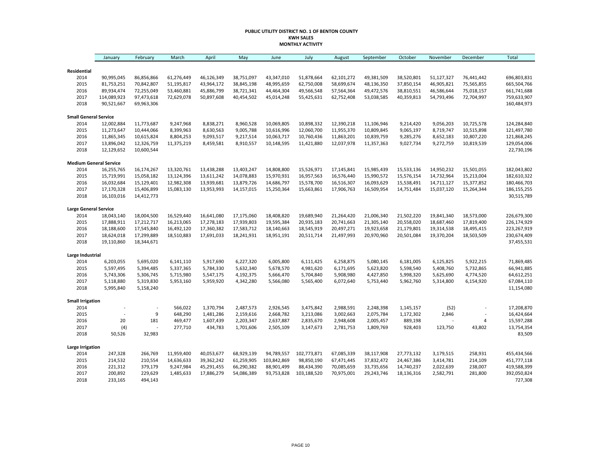#### **PUBLIC UTILITY DISTRICT NO. 1 OF BENTON COUNTY KWH SALES MONTHLY ACTIVITY**

|                               | January                   | February   | March                    | April                    | May                      | June        | July        | August                   | September  | October                  | November                 | December   | Total                      |
|-------------------------------|---------------------------|------------|--------------------------|--------------------------|--------------------------|-------------|-------------|--------------------------|------------|--------------------------|--------------------------|------------|----------------------------|
|                               |                           |            |                          |                          |                          |             |             |                          |            |                          |                          |            |                            |
| Residential                   |                           |            |                          |                          |                          |             |             |                          |            |                          |                          |            |                            |
| 2014                          | 90,995,045                | 86,856,866 | 61,276,449               | 46,126,349               | 38,751,097               | 43,347,010  | 51,878,664  | 62,101,272               | 49,381,509 | 38,520,801               | 51,127,327               | 76,441,442 | 696,803,831                |
| 2015                          | 81,753,251                | 70,842,807 | 51,195,817               | 43,964,172               | 38,845,198               | 48,995,659  | 62,750,008  | 58,699,674               | 48,136,350 | 37,850,154               | 46,905,821               | 75,565,855 | 665,504,766                |
| 2016<br>2017                  | 89,934,474<br>114,089,923 | 72,255,049 | 53,460,881<br>72,629,078 | 45,886,799<br>50,897,608 | 38,721,341<br>40,454,502 | 44,464,304  | 49,566,548  | 57,564,364<br>62,752,408 | 49,472,576 | 38,810,551<br>40,359,813 | 46,586,644<br>54,793,496 | 75,018,157 | 661,741,688<br>759,633,907 |
| 2018                          | 90,521,667                | 97,473,618 |                          |                          |                          | 45,014,248  | 55,425,631  |                          | 53,038,585 |                          |                          | 72,704,997 | 160,484,973                |
|                               |                           | 69,963,306 |                          |                          |                          |             |             |                          |            |                          |                          |            |                            |
| <b>Small General Service</b>  |                           |            |                          |                          |                          |             |             |                          |            |                          |                          |            |                            |
| 2014                          | 12,002,884                | 11,773,687 | 9,247,968                | 8,838,271                | 8,960,528                | 10,069,805  | 10,898,332  | 12,390,218               | 11,106,946 | 9,214,420                | 9,056,203                | 10,725,578 | 124,284,840                |
| 2015                          | 11,273,647                | 10,444,066 | 8,399,963                | 8,630,563                | 9,005,788                | 10,616,996  | 12,060,700  | 11,955,370               | 10,809,845 | 9,065,197                | 8,719,747                | 10,515,898 | 121,497,780                |
| 2016                          | 11,865,345                | 10,615,824 | 8,804,253                | 9,093,517                | 9,217,514                | 10,063,717  | 10,760,436  | 11,863,201               | 10,839,759 | 9,285,276                | 8,652,183                | 10,807,220 | 121,868,245                |
| 2017                          | 13,896,042                | 12,326,759 | 11,375,219               | 8,459,581                | 8,910,557                | 10,148,595  | 11,421,880  | 12,037,978               | 11,357,363 | 9,027,734                | 9,272,759                | 10,819,539 | 129,054,006                |
| 2018                          | 12,129,652                | 10,600,544 |                          |                          |                          |             |             |                          |            |                          |                          |            | 22,730,196                 |
| <b>Medium General Service</b> |                           |            |                          |                          |                          |             |             |                          |            |                          |                          |            |                            |
| 2014                          | 16,255,765                | 16,174,267 | 13,320,761               | 13,438,288               | 13,403,247               | 14,808,800  | 15,526,971  | 17,145,841               | 15,985,439 | 15,533,136               | 14,950,232               | 15,501,055 | 182,043,802                |
| 2015                          | 15,719,991                | 15,058,182 | 13,124,396               | 13,611,242               | 14,078,883               | 15,970,931  | 16,957,563  | 16,576,440               | 15,990,572 | 15,576,154               | 14,732,964               | 15,213,004 | 182,610,322                |
| 2016                          | 16,032,684                | 15,129,401 | 12,982,308               | 13,939,681               | 13,879,726               | 14,686,797  | 15,578,700  | 16,516,307               | 16,093,629 | 15,538,491               | 14,711,127               | 15,377,852 | 180,466,703                |
| 2017                          | 17,170,328                | 15,406,899 | 15,083,130               | 13,953,993               | 14,157,015               | 15,250,364  | 15,663,861  | 17,906,763               | 16,509,954 | 14,751,484               | 15,037,120               | 15,264,344 | 186, 155, 255              |
| 2018                          | 16,103,016                | 14,412,773 |                          |                          |                          |             |             |                          |            |                          |                          |            | 30,515,789                 |
| <b>Large General Service</b>  |                           |            |                          |                          |                          |             |             |                          |            |                          |                          |            |                            |
| 2014                          | 18,043,140                | 18,004,500 | 16,529,440               | 16,641,080               | 17,175,060               | 18,408,820  | 19,689,940  | 21,264,420               | 21,006,340 | 21,502,220               | 19,841,340               | 18,573,000 | 226,679,300                |
| 2015                          | 17,888,911                | 17,212,717 | 16,213,065               | 17,278,183               | 17,939,803               | 19,595,384  | 20,935,183  | 20,741,663               | 21,305,140 | 20,558,020               | 18,687,460               | 17,819,400 | 226,174,929                |
| 2016                          | 18,188,600                | 17,545,840 | 16,492,120               | 17,360,382               | 17,583,712               | 18,140,663  | 18,545,919  | 20,497,271               | 19,923,658 | 21,179,801               | 19,314,538               | 18,495,415 | 223,267,919                |
| 2017                          | 18,624,018                | 17,299,889 | 18,510,883               | 17,691,033               | 18,241,931               | 18,951,191  | 20,511,714  | 21,497,993               | 20,970,960 | 20,501,084               | 19,370,204               | 18,503,509 | 230,674,409                |
| 2018                          | 19,110,860                | 18,344,671 |                          |                          |                          |             |             |                          |            |                          |                          |            | 37,455,531                 |
| Large Industrial              |                           |            |                          |                          |                          |             |             |                          |            |                          |                          |            |                            |
| 2014                          | 6,203,055                 | 5,695,020  | 6,141,110                | 5,917,690                | 6,227,320                | 6,005,800   | 6,111,425   | 6,258,875                | 5,080,145  | 6,181,005                | 6,125,825                | 5,922,215  | 71,869,485                 |
| 2015                          | 5,597,495                 | 5,394,485  | 5,337,365                | 5,784,330                | 5,632,340                | 5,678,570   | 4,981,620   | 6,171,695                | 5,623,820  | 5,598,540                | 5,408,760                | 5,732,865  | 66,941,885                 |
| 2016                          | 5,743,306                 | 5,306,745  | 5,715,980                | 5,547,175                | 4,192,375                | 5,666,470   | 5,704,840   | 5,908,980                | 4,427,850  | 5,998,320                | 5,625,690                | 4,774,520  | 64,612,251                 |
| 2017                          | 5,118,880                 | 5,319,830  | 5,953,160                | 5,959,920                | 4,342,280                | 5,566,080   | 5,565,400   | 6,072,640                | 5,753,440  | 5,962,760                | 5,314,800                | 6,154,920  | 67,084,110                 |
| 2018                          | 5,995,840                 | 5,158,240  |                          |                          |                          |             |             |                          |            |                          |                          |            | 11,154,080                 |
| <b>Small Irrigation</b>       |                           |            |                          |                          |                          |             |             |                          |            |                          |                          |            |                            |
| 2014                          |                           |            | 566,022                  | 1,370,794                | 2,487,573                | 2,926,545   | 3,475,842   | 2,988,591                | 2,248,398  | 1,145,157                | (52)                     |            | 17,208,870                 |
| 2015                          |                           | 9          | 648,290                  | 1,481,286                | 2,159,616                | 2,668,782   | 3,213,086   | 3,002,663                | 2,075,784  | 1,172,302                | 2,846                    |            | 16,424,664                 |
| 2016                          | 20                        | 181        | 469,477                  | 1,607,439                | 2,203,347                | 2,637,887   | 2,835,670   | 2,948,608                | 2,005,457  | 889,198                  |                          | 4          | 15,597,288                 |
| 2017                          | (4)                       |            | 277,710                  | 434,783                  | 1,701,606                | 2,505,109   | 3,147,673   | 2,781,753                | 1,809,769  | 928,403                  | 123,750                  | 43,802     | 13,754,354                 |
| 2018                          | 50,526                    | 32,983     |                          |                          |                          |             |             |                          |            |                          |                          |            | 83,509                     |
|                               |                           |            |                          |                          |                          |             |             |                          |            |                          |                          |            |                            |
| Large Irrigation              |                           |            |                          |                          |                          |             |             |                          |            |                          |                          |            |                            |
| 2014                          | 247,328                   | 266,769    | 11,959,400               | 40,053,677               | 68,929,139               | 94,789,557  | 102,773,871 | 67,085,339               | 38,117,908 | 27,773,132               | 3,179,515                | 258,931    | 455,434,566                |
| 2015                          | 214,532                   | 210,554    | 14,636,633               | 39,362,242               | 61,259,905               | 103,842,869 | 98,850,190  | 67,471,445               | 37,832,472 | 24,467,386               | 3,414,781                | 214,109    | 451,777,118                |
| 2016                          | 221,312                   | 379,179    | 9,247,984                | 45,291,455               | 66,290,382               | 88,901,499  | 88,434,390  | 70,085,659               | 33,735,656 | 14,740,237               | 2,022,639                | 238,007    | 419,588,399                |
| 2017                          | 200,892                   | 229,629    | 1,485,633                | 17,886,279               | 54,086,389               | 93,753,828  | 103,188,520 | 70,975,001               | 29,243,746 | 18,136,316               | 2,582,791                | 281,800    | 392,050,824                |
| 2018                          | 233,165                   | 494,143    |                          |                          |                          |             |             |                          |            |                          |                          |            | 727,308                    |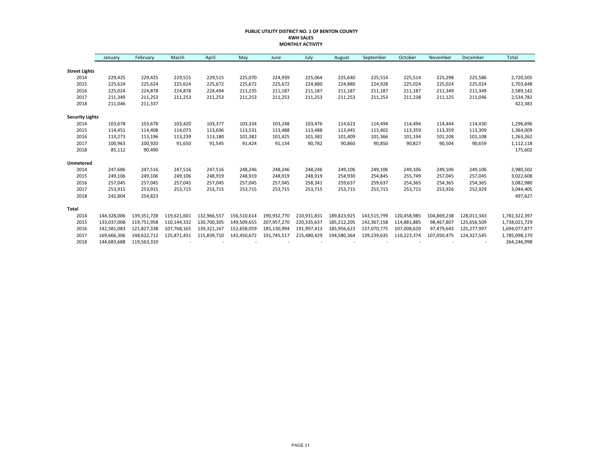#### **PUBLIC UTILITY DISTRICT NO. 1 OF BENTON COUNTY KWH SALES MONTHLY ACTIVITY**

|                        | January     | February    | March       | April       | May         | June        | July        | August      | September   | October     | November    | December    | Total         |
|------------------------|-------------|-------------|-------------|-------------|-------------|-------------|-------------|-------------|-------------|-------------|-------------|-------------|---------------|
|                        |             |             |             |             |             |             |             |             |             |             |             |             |               |
| <b>Street Lights</b>   |             |             |             |             |             |             |             |             |             |             |             |             |               |
| 2014                   | 229,425     | 229,425     | 229,515     | 229,515     | 225,070     | 224,939     | 225,064     | 225,640     | 225,514     | 225,514     | 225,298     | 225,586     | 2,720,505     |
| 2015                   | 225,624     | 225,624     | 225,624     | 225,672     | 225,672     | 225.672     | 224,880     | 224,880     | 224,928     | 225,024     | 225,024     | 225,024     | 2,703,648     |
| 2016                   | 225,024     | 224,878     | 224,878     | 224,494     | 211,235     | 211,187     | 211,187     | 211,187     | 211,187     | 211,187     | 211,349     | 211,349     | 2,589,142     |
| 2017                   | 211,349     | 211,253     | 211,253     | 211,253     | 211,253     | 211,253     | 211,253     | 211,253     | 211,253     | 211,238     | 211,125     | 211,046     | 2,534,782     |
| 2018                   | 211,046     | 211,337     |             |             |             |             |             |             |             |             |             |             | 422,383       |
| <b>Security Lights</b> |             |             |             |             |             |             |             |             |             |             |             |             |               |
| 2014                   | 103,678     | 103,678     | 103,420     | 103,377     | 103,334     | 103,248     | 103,476     | 114,623     | 114,494     | 114,494     | 114,444     | 114,430     | 1,296,696     |
| 2015                   | 114,451     | 114,408     | 114,073     | 113,696     | 113,531     | 113,488     | 113,488     | 113,445     | 113,402     | 113,359     | 113,359     | 113,309     | 1,364,009     |
| 2016                   | 113,273     | 113,196     | 113,239     | 113,180     | 101,382     | 101,425     | 101,382     | 101,409     | 101,366     | 101,194     | 101,108     | 101,108     | 1,263,262     |
| 2017                   | 100,963     | 100,920     | 91,650      | 91,545      | 91,424      | 91,134      | 90,782      | 90,860      | 90,850      | 90,827      | 90,504      | 90,659      | 1,112,118     |
| 2018                   | 85,112      | 90,490      |             |             |             |             |             |             |             |             |             |             | 175,602       |
| Unmetered              |             |             |             |             |             |             |             |             |             |             |             |             |               |
| 2014                   | 247,686     | 247,516     | 247,516     | 247,516     | 248,246     | 248,246     | 248,246     | 249,106     | 249,106     | 249,106     | 249,106     | 249,106     | 2,980,502     |
| 2015                   | 249,106     | 249,106     | 249,106     | 248,919     | 248,919     | 248,919     | 248,919     | 254,930     | 254,845     | 255,749     | 257,045     | 257,045     | 3,022,608     |
| 2016                   | 257,045     | 257,045     | 257,045     | 257,045     | 257,045     | 257,045     | 258,341     | 259,637     | 259,637     | 254,365     | 254,365     | 254,365     | 3,082,980     |
| 2017                   | 253,915     | 253,915     | 253,715     | 253,715     | 253,715     | 253,715     | 253,715     | 253,715     | 253,715     | 253,715     | 253,926     | 252,929     | 3,044,405     |
| 2018                   | 242,804     | 254,823     |             |             |             |             |             |             |             |             |             |             | 497,627       |
| Total                  |             |             |             |             |             |             |             |             |             |             |             |             |               |
| 2014                   | 144,328,006 | 139,351,728 | 119,621,601 | 132,966,557 | 156,510,614 | 190,932,770 | 210,931,831 | 189,823,925 | 143,515,799 | 120,458,985 | 104,869,238 | 128,011,343 | 1,781,322,397 |
| 2015                   | 133,037,008 | 119,751,958 | 110.144.332 | 130,700,305 | 149,509,655 | 207,957,270 | 220,335,637 | 185,212,205 | 142,367,158 | 114,881,885 | 98,467,807  | 125,656,509 | 1,738,021,729 |
| 2016                   | 142,581,083 | 121,827,338 | 107,768,165 | 139,321,167 | 152,658,059 | 185,130,994 | 191,997,413 | 185,956,623 | 137,070,775 | 107,008,620 | 97,479,643  | 125,277,997 | 1,694,077,877 |
| 2017                   | 169,666,306 | 148,622,712 | 125,871,431 | 115,839,710 | 142,450,672 | 191,745,517 | 215,480,429 | 194,580,364 | 139,239,635 | 110,223,374 | 107,050,475 | 124,327,545 | 1,785,098,170 |
| 2018                   | 144,683,688 | 119,563,310 |             |             |             |             |             |             |             |             |             |             | 264,246,998   |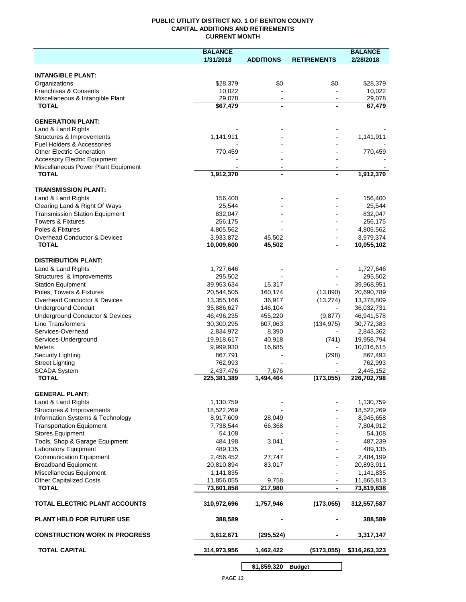### **PUBLIC UTILITY DISTRICT NO. 1 OF BENTON COUNTY CAPITAL ADDITIONS AND RETIREMENTS CURRENT MONTH**

|                                                       | <b>BALANCE</b>           |                          |                    | <b>BALANCE</b>           |
|-------------------------------------------------------|--------------------------|--------------------------|--------------------|--------------------------|
|                                                       | 1/31/2018                | <b>ADDITIONS</b>         | <b>RETIREMENTS</b> | 2/28/2018                |
| <b>INTANGIBLE PLANT:</b>                              |                          |                          |                    |                          |
| Organizations                                         | \$28,379                 | \$0                      | \$0                | \$28,379                 |
| <b>Franchises &amp; Consents</b>                      | 10,022                   |                          |                    | 10,022                   |
| Miscellaneous & Intangible Plant                      | 29,078                   | $\blacksquare$           | $\sim$             | 29,078                   |
| <b>TOTAL</b>                                          | \$67,479                 | $\blacksquare$           |                    | 67,479                   |
| <b>GENERATION PLANT:</b>                              |                          |                          |                    |                          |
| Land & Land Rights                                    |                          |                          |                    |                          |
| Structures & Improvements                             | 1,141,911                |                          |                    | 1,141,911                |
| <b>Fuel Holders &amp; Accessories</b>                 |                          |                          |                    |                          |
| <b>Other Electric Generation</b>                      | 770,459                  |                          |                    | 770,459                  |
| <b>Accessory Electric Equipment</b>                   |                          |                          |                    |                          |
| Miscellaneous Power Plant Equipment                   |                          | $\overline{\phantom{a}}$ |                    |                          |
| <b>TOTAL</b>                                          | 1,912,370                | $\blacksquare$           |                    | 1,912,370                |
| <b>TRANSMISSION PLANT:</b>                            |                          |                          |                    |                          |
| Land & Land Rights                                    | 156,400                  |                          |                    | 156,400                  |
| Clearing Land & Right Of Ways                         | 25,544                   |                          |                    | 25,544                   |
| <b>Transmission Station Equipment</b>                 | 832,047                  |                          |                    | 832,047                  |
| <b>Towers &amp; Fixtures</b>                          | 256,175                  |                          |                    | 256,175                  |
| Poles & Fixtures                                      | 4,805,562                |                          |                    | 4,805,562                |
| Overhead Conductor & Devices                          | 3,933,872                | 45,502                   |                    | 3,979,374                |
| <b>TOTAL</b>                                          | 10,009,600               | 45,502                   | $\blacksquare$     | 10,055,102               |
| <b>DISTRIBUTION PLANT:</b>                            |                          |                          |                    |                          |
| Land & Land Rights                                    | 1,727,646                |                          |                    | 1,727,646                |
| Structures & Improvements                             | 295,502                  |                          |                    | 295,502                  |
| <b>Station Equipment</b>                              | 39,953,634               | 15,317                   |                    | 39,968,951               |
| Poles, Towers & Fixtures                              | 20,544,505               | 160,174                  | (13,890)           | 20,690,789               |
| Overhead Conductor & Devices                          | 13,355,166               | 36,917                   | (13, 274)          | 13,378,809               |
| <b>Underground Conduit</b>                            | 35,886,627               | 146,104                  |                    | 36,032,731               |
| Underground Conductor & Devices                       | 46,496,235               | 455,220                  | (9, 877)           | 46,941,578               |
| <b>Line Transformers</b>                              | 30,300,295               | 607,063                  | (134, 975)         | 30,772,383               |
| Services-Overhead                                     | 2,834,972                | 8,390                    |                    | 2,843,362                |
| Services-Underground                                  | 19,918,617               | 40,918                   | (741)              | 19,958,794               |
| <b>Meters</b>                                         | 9,999,930                | 16,685                   |                    | 10,016,615               |
| Security Lighting                                     | 867,791                  |                          | (298)              | 867,493                  |
| <b>Street Lighting</b>                                | 762,993                  |                          |                    | 762,993                  |
| <b>SCADA System</b><br><b>TOTAL</b>                   | 2,437,476                | 7,676                    | (173, 055)         | 2,445,152                |
|                                                       | 225,381,389              | 1,494,464                |                    | 226,702,798              |
| <b>GENERAL PLANT:</b>                                 |                          |                          |                    |                          |
| Land & Land Rights                                    | 1,130,759                |                          |                    | 1,130,759                |
| Structures & Improvements                             | 18,522,269               |                          |                    | 18,522,269               |
| Information Systems & Technology                      | 8,917,609                | 28,049                   |                    | 8,945,658                |
| <b>Transportation Equipment</b>                       | 7,738,544                | 66,368                   |                    | 7,804,912                |
| <b>Stores Equipment</b>                               | 54,108                   |                          |                    | 54,108                   |
| Tools, Shop & Garage Equipment                        | 484,198                  | 3,041                    |                    | 487,239                  |
| Laboratory Equipment                                  | 489,135                  |                          |                    | 489,135                  |
| <b>Communication Equipment</b>                        | 2,456,452                | 27,747                   |                    | 2,484,199                |
| <b>Broadband Equipment</b><br>Miscellaneous Equipment | 20,810,894               | 83,017                   |                    | 20,893,911               |
|                                                       | 1,141,835                | 9,758                    |                    | 1,141,835                |
| <b>Other Capitalized Costs</b><br><b>TOTAL</b>        | 11,856,055<br>73,601,858 | 217,980                  |                    | 11,865,813<br>73,819,838 |
|                                                       |                          |                          |                    |                          |
| TOTAL ELECTRIC PLANT ACCOUNTS                         | 310,972,696              | 1,757,946                | (173, 055)         | 312,557,587              |
| <b>PLANT HELD FOR FUTURE USE</b>                      | 388,589                  |                          |                    | 388,589                  |
| <b>CONSTRUCTION WORK IN PROGRESS</b>                  | 3,612,671                | (295, 524)               |                    | 3,317,147                |
| <b>TOTAL CAPITAL</b>                                  | 314,973,956              | 1,462,422                | (\$173,055)        | \$316,263,323            |
|                                                       |                          |                          |                    |                          |

PAGE 12

**\$1,859,320 Budget**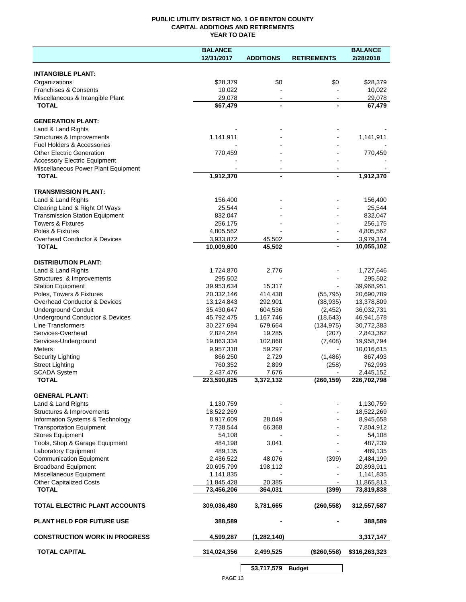## **PUBLIC UTILITY DISTRICT NO. 1 OF BENTON COUNTY CAPITAL ADDITIONS AND RETIREMENTS YEAR TO DATE**

|                                       | <b>BALANCE</b> |                  |                    | <b>BALANCE</b> |
|---------------------------------------|----------------|------------------|--------------------|----------------|
|                                       | 12/31/2017     | <b>ADDITIONS</b> | <b>RETIREMENTS</b> | 2/28/2018      |
|                                       |                |                  |                    |                |
| <b>INTANGIBLE PLANT:</b>              |                |                  |                    |                |
| Organizations                         | \$28,379       | \$0              | \$0                | \$28,379       |
| <b>Franchises &amp; Consents</b>      | 10,022         |                  |                    | 10,022         |
| Miscellaneous & Intangible Plant      | 29,078         |                  |                    | 29,078         |
| <b>TOTAL</b>                          | \$67,479       |                  |                    | 67,479         |
|                                       |                |                  |                    |                |
| <b>GENERATION PLANT:</b>              |                |                  |                    |                |
| Land & Land Rights                    |                |                  |                    |                |
| Structures & Improvements             | 1,141,911      |                  |                    | 1,141,911      |
| <b>Fuel Holders &amp; Accessories</b> |                |                  |                    |                |
| <b>Other Electric Generation</b>      | 770,459        |                  |                    | 770,459        |
| <b>Accessory Electric Equipment</b>   |                |                  |                    |                |
| Miscellaneous Power Plant Equipment   |                |                  |                    |                |
| <b>TOTAL</b>                          | 1,912,370      |                  | ٠                  | 1,912,370      |
|                                       |                |                  |                    |                |
| <b>TRANSMISSION PLANT:</b>            |                |                  |                    |                |
| Land & Land Rights                    | 156,400        |                  |                    | 156,400        |
| Clearing Land & Right Of Ways         | 25,544         |                  |                    | 25,544         |
| <b>Transmission Station Equipment</b> | 832,047        |                  |                    | 832,047        |
| <b>Towers &amp; Fixtures</b>          | 256,175        |                  |                    | 256,175        |
| Poles & Fixtures                      | 4,805,562      |                  |                    | 4,805,562      |
| Overhead Conductor & Devices          | 3,933,872      | 45,502           |                    | 3,979,374      |
| <b>TOTAL</b>                          | 10,009,600     | 45,502           |                    | 10,055,102     |
|                                       |                |                  |                    |                |
| <b>DISTRIBUTION PLANT:</b>            |                |                  |                    |                |
| Land & Land Rights                    | 1,724,870      | 2,776            |                    | 1,727,646      |
| Structures & Improvements             | 295,502        |                  |                    | 295,502        |
| <b>Station Equipment</b>              | 39,953,634     | 15,317           |                    | 39,968,951     |
| Poles, Towers & Fixtures              | 20,332,146     | 414,438          | (55, 795)          | 20,690,789     |
| Overhead Conductor & Devices          | 13,124,843     | 292,901          | (38, 935)          | 13,378,809     |
| <b>Underground Conduit</b>            | 35,430,647     | 604,536          | (2, 452)           | 36,032,731     |
| Underground Conductor & Devices       | 45,792,475     | 1,167,746        | (18, 643)          | 46,941,578     |
| Line Transformers                     | 30,227,694     | 679,664          | (134, 975)         | 30,772,383     |
| Services-Overhead                     | 2,824,284      | 19,285           | (207)              | 2,843,362      |
| Services-Underground                  | 19,863,334     | 102,868          | (7, 408)           | 19,958,794     |
| <b>Meters</b>                         | 9,957,318      | 59,297           | $\blacksquare$     | 10,016,615     |
| Security Lighting                     | 866,250        | 2,729            | (1,486)            | 867,493        |
| <b>Street Lighting</b>                | 760,352        | 2,899            | (258)              | 762,993        |
| <b>SCADA System</b>                   | 2,437,476      | 7,676            |                    | 2,445,152      |
| <b>TOTAL</b>                          | 223,590,825    | 3,372,132        | (260, 159)         | 226,702,798    |
|                                       |                |                  |                    |                |
| <b>GENERAL PLANT:</b>                 |                |                  |                    |                |
| Land & Land Rights                    | 1,130,759      |                  |                    | 1,130,759      |
| Structures & Improvements             | 18,522,269     |                  |                    | 18,522,269     |
| Information Systems & Technology      | 8,917,609      | 28,049           |                    | 8,945,658      |
| <b>Transportation Equipment</b>       | 7,738,544      | 66,368           |                    | 7,804,912      |
| <b>Stores Equipment</b>               | 54,108         |                  |                    | 54,108         |
| Tools, Shop & Garage Equipment        | 484,198        | 3,041            |                    | 487,239        |
| Laboratory Equipment                  | 489,135        |                  |                    | 489,135        |
| <b>Communication Equipment</b>        | 2,436,522      | 48,076           | (399)              | 2,484,199      |
| <b>Broadband Equipment</b>            | 20,695,799     | 198,112          |                    | 20,893,911     |
| Miscellaneous Equipment               | 1,141,835      |                  |                    | 1,141,835      |
| <b>Other Capitalized Costs</b>        | 11,845,428     | 20,385           |                    | 11,865,813     |
| <b>TOTAL</b>                          | 73,456,206     | 364,031          | (399)              | 73,819,838     |
|                                       |                |                  |                    |                |
| TOTAL ELECTRIC PLANT ACCOUNTS         | 309,036,480    | 3,781,665        | (260, 558)         | 312,557,587    |
|                                       |                |                  |                    |                |
| <b>PLANT HELD FOR FUTURE USE</b>      | 388,589        |                  |                    | 388,589        |
|                                       |                |                  |                    |                |
| <b>CONSTRUCTION WORK IN PROGRESS</b>  | 4,599,287      | (1, 282, 140)    |                    | 3,317,147      |
|                                       |                |                  |                    |                |
| <b>TOTAL CAPITAL</b>                  | 314,024,356    | 2,499,525        | (\$260,558)        | \$316,263,323  |
|                                       |                |                  |                    |                |
|                                       |                | \$3,717,579      | <b>Budget</b>      |                |
|                                       |                |                  |                    |                |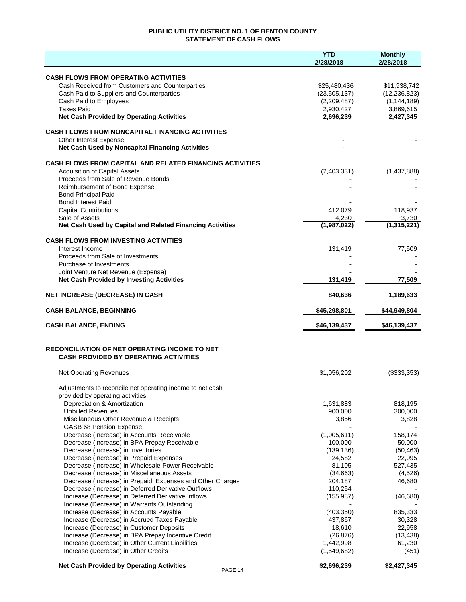# **PUBLIC UTILITY DISTRICT NO. 1 OF BENTON COUNTY STATEMENT OF CASH FLOWS**

|                                                                                                           | <b>YTD</b><br>2/28/2018 | <b>Monthly</b><br>2/28/2018 |
|-----------------------------------------------------------------------------------------------------------|-------------------------|-----------------------------|
| <b>CASH FLOWS FROM OPERATING ACTIVITIES</b>                                                               |                         |                             |
| Cash Received from Customers and Counterparties                                                           | \$25,480,436            | \$11,938,742                |
| Cash Paid to Suppliers and Counterparties                                                                 | (23, 505, 137)          | (12, 236, 823)              |
| Cash Paid to Employees                                                                                    | (2,209,487)             | (1, 144, 189)               |
| <b>Taxes Paid</b>                                                                                         | 2,930,427               | 3,869,615                   |
| <b>Net Cash Provided by Operating Activities</b>                                                          | 2,696,239               | 2,427,345                   |
| <b>CASH FLOWS FROM NONCAPITAL FINANCING ACTIVITIES</b>                                                    |                         |                             |
| Other Interest Expense                                                                                    |                         |                             |
| Net Cash Used by Noncapital Financing Activities                                                          |                         |                             |
| <b>CASH FLOWS FROM CAPITAL AND RELATED FINANCING ACTIVITIES</b>                                           |                         |                             |
| <b>Acquisition of Capital Assets</b>                                                                      | (2,403,331)             | (1,437,888)                 |
| Proceeds from Sale of Revenue Bonds                                                                       |                         |                             |
| Reimbursement of Bond Expense                                                                             |                         |                             |
| <b>Bond Principal Paid</b>                                                                                |                         |                             |
| <b>Bond Interest Paid</b>                                                                                 |                         |                             |
| <b>Capital Contributions</b>                                                                              | 412,079                 | 118,937                     |
| Sale of Assets<br>Net Cash Used by Capital and Related Financing Activities                               | 4,230<br>(1,987,022)    | 3,730<br>(1,315,221)        |
|                                                                                                           |                         |                             |
| <b>CASH FLOWS FROM INVESTING ACTIVITIES</b>                                                               |                         |                             |
| Interest Income<br>Proceeds from Sale of Investments                                                      | 131,419                 | 77.509                      |
| Purchase of Investments                                                                                   |                         |                             |
| Joint Venture Net Revenue (Expense)                                                                       |                         |                             |
| <b>Net Cash Provided by Investing Activities</b>                                                          | 131,419                 | 77,509                      |
| <b>NET INCREASE (DECREASE) IN CASH</b>                                                                    | 840,636                 | 1,189,633                   |
|                                                                                                           |                         |                             |
| <b>CASH BALANCE, BEGINNING</b>                                                                            | \$45,298,801            | \$44,949,804                |
| <b>CASH BALANCE, ENDING</b>                                                                               | \$46,139,437            | \$46,139,437                |
| RECONCILIATION OF NET OPERATING INCOME TO NET                                                             |                         |                             |
| <b>CASH PROVIDED BY OPERATING ACTIVITIES</b>                                                              |                         |                             |
| <b>Net Operating Revenues</b>                                                                             | \$1,056,202             | (\$333,353)                 |
|                                                                                                           |                         |                             |
| Adjustments to reconcile net operating income to net cash<br>provided by operating activities:            |                         |                             |
| Depreciation & Amortization                                                                               | 1,631,883               | 818,195                     |
| <b>Unbilled Revenues</b>                                                                                  | 900,000                 | 300,000                     |
| Misellaneous Other Revenue & Receipts                                                                     | 3,856                   | 3,828                       |
| GASB 68 Pension Expense                                                                                   |                         |                             |
| Decrease (Increase) in Accounts Receivable                                                                | (1,005,611)             | 158,174                     |
| Decrease (Increase) in BPA Prepay Receivable                                                              | 100,000                 | 50,000                      |
| Decrease (Increase) in Inventories                                                                        | (139, 136)              | (50, 463)                   |
| Decrease (Increase) in Prepaid Expenses                                                                   | 24,582                  | 22,095                      |
| Decrease (Increase) in Wholesale Power Receivable                                                         | 81,105                  | 527,435                     |
| Decrease (Increase) in Miscellaneous Assets                                                               | (34,663)                | (4,526)                     |
| Decrease (Increase) in Prepaid Expenses and Other Charges                                                 | 204,187                 | 46,680                      |
| Decrease (Increase) in Deferred Derivative Outflows<br>Increase (Decrease) in Deferred Derivative Inflows | 110,254<br>(155, 987)   | (46, 680)                   |
| Increase (Decrease) in Warrants Outstanding                                                               |                         |                             |
| Increase (Decrease) in Accounts Payable                                                                   | (403, 350)              | 835,333                     |
| Increase (Decrease) in Accrued Taxes Payable                                                              | 437,867                 | 30,328                      |
| Increase (Decrease) in Customer Deposits                                                                  | 18,610                  | 22,958                      |
| Increase (Decrease) in BPA Prepay Incentive Credit                                                        | (26, 876)               | (13, 438)                   |
| Increase (Decrease) in Other Current Liabilities                                                          | 1,442,998               | 61,230                      |
| Increase (Decrease) in Other Credits                                                                      | (1,549,682)             | (451)                       |
| <b>Net Cash Provided by Operating Activities</b><br>PAGE 14                                               | \$2,696,239             | \$2,427,345                 |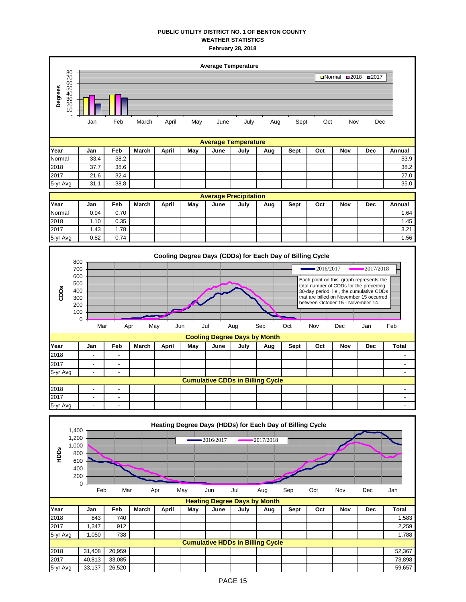## **PUBLIC UTILITY DISTRICT NO. 1 OF BENTON COUNTY WEATHER STATISTICS February 28, 2018**

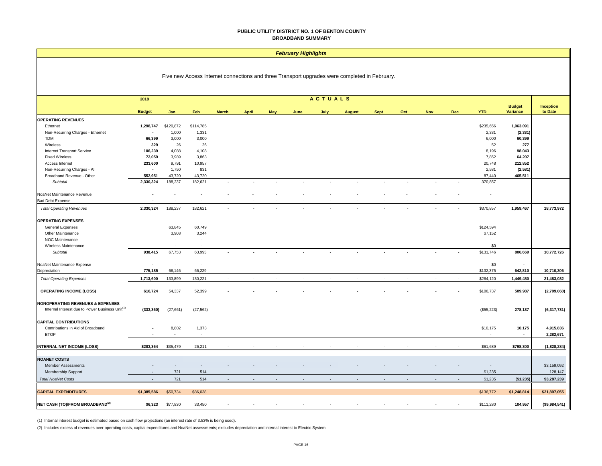#### **PUBLIC UTILITY DISTRICT NO. 1 OF BENTON COUNTY BROADBAND SUMMARY**

#### *February Highlights*

| Five new Access Internet connections and three Transport upgrades were completed in February. |  |  |
|-----------------------------------------------------------------------------------------------|--|--|
|-----------------------------------------------------------------------------------------------|--|--|

|                                                             | ACTUALS<br>2018          |           |                          |              |              |            |        |                          |               |             |        |            |            |                          |                    |               |
|-------------------------------------------------------------|--------------------------|-----------|--------------------------|--------------|--------------|------------|--------|--------------------------|---------------|-------------|--------|------------|------------|--------------------------|--------------------|---------------|
|                                                             |                          |           |                          |              |              |            |        |                          |               |             |        |            |            |                          | <b>Budget</b>      | Inception     |
|                                                             | <b>Budget</b>            | Jan       | Feb                      | <b>March</b> | <b>April</b> | <b>May</b> | June   | July                     | <b>August</b> | <b>Sept</b> | Oct    | <b>Nov</b> | <b>Dec</b> | <b>YTD</b>               | Variance           | to Date       |
| <b>OPERATING REVENUES</b>                                   | 1,298,747                | \$120,872 | \$114,785                |              |              |            |        |                          |               |             |        |            |            | \$235,656                | 1,063,091          |               |
| Ethernet                                                    | $\overline{\phantom{a}}$ | 1,000     |                          |              |              |            |        |                          |               |             |        |            |            |                          |                    |               |
| Non-Recurring Charges - Ethernet<br><b>TDM</b>              | 66,399                   | 3,000     | 1,331<br>3,000           |              |              |            |        |                          |               |             |        |            |            | 2,331<br>6,000           | (2, 331)<br>60,399 |               |
| Wireless                                                    | 329                      | 26        | 26                       |              |              |            |        |                          |               |             |        |            |            | 52                       | 277                |               |
| Internet Transport Service                                  | 106,239                  | 4,088     | 4,108                    |              |              |            |        |                          |               |             |        |            |            | 8,196                    | 98,043             |               |
| <b>Fixed Wireless</b>                                       | 72,059                   | 3,989     | 3,863                    |              |              |            |        |                          |               |             |        |            |            | 7,852                    | 64,207             |               |
| Access Internet                                             | 233,600                  | 9,791     | 10,957                   |              |              |            |        |                          |               |             |        |            |            | 20,748                   | 212,852            |               |
| Non-Recurring Charges - Al                                  | $\blacksquare$           | 1,750     | 831                      |              |              |            |        |                          |               |             |        |            |            | 2,581                    | (2, 581)           |               |
| Broadband Revenue - Other                                   | 552,951                  | 43,720    | 43,720                   |              |              |            |        |                          |               |             |        |            |            | 87,440                   | 465,511            |               |
| Subtotal                                                    | 2,330,324                | 188,237   | 182,621                  |              |              |            |        | $\overline{\phantom{a}}$ |               |             |        | $\sim$     |            | 370,857                  |                    |               |
| NoaNet Maintenance Revenue                                  | $\overline{\phantom{a}}$ |           |                          |              |              |            |        |                          |               |             |        |            |            | $\overline{\phantom{a}}$ |                    |               |
| <b>Bad Debt Expense</b>                                     |                          |           |                          |              |              |            |        |                          |               |             |        |            |            |                          |                    |               |
| <b>Total Operating Revenues</b>                             | 2,330,324                | 188,237   | 182,621                  |              |              |            |        |                          |               |             |        |            |            | \$370,857                | 1,959,467          | 18,773,972    |
| <b>OPERATING EXPENSES</b>                                   |                          |           |                          |              |              |            |        |                          |               |             |        |            |            |                          |                    |               |
| General Expenses                                            |                          | 63,845    | 60,749                   |              |              |            |        |                          |               |             |        |            |            | \$124,594                |                    |               |
| Other Maintenance                                           |                          | 3,908     | 3,244                    |              |              |            |        |                          |               |             |        |            |            | \$7,152                  |                    |               |
| NOC Maintenance                                             |                          |           | $\sim$                   |              |              |            |        |                          |               |             |        |            |            |                          |                    |               |
| Wireless Maintenance                                        |                          | $\sim$    | $\overline{\phantom{a}}$ |              |              |            |        |                          |               |             |        |            |            | \$0                      |                    |               |
| Subtotal                                                    | 938,415                  | 67,753    | 63,993                   |              |              |            |        |                          |               |             |        |            |            | \$131,746                | 806,669            | 10,772,726    |
| NoaNet Maintenance Expense                                  | $\blacksquare$           | ٠         | $\sim$                   |              |              |            |        |                          |               |             |        |            |            | \$0                      | $\sim$             |               |
| Depreciation                                                | 775,185                  | 66,146    | 66,229                   |              |              |            |        |                          |               |             |        |            |            | \$132,375                | 642,810            | 10,710,306    |
| <b>Total Operating Expenses</b>                             | 1,713,600                | 133,899   | 130,221                  |              |              |            |        |                          |               |             |        |            |            | \$264,120                | 1,449,480          | 21,483,032    |
| <b>OPERATING INCOME (LOSS)</b>                              | 616,724                  | 54,337    | 52,399                   |              |              |            |        |                          |               |             |        |            |            | \$106,737                | 509,987            | (2,709,060)   |
| NONOPERATING REVENUES & EXPENSES                            |                          |           |                          |              |              |            |        |                          |               |             |        |            |            |                          |                    |               |
| Internal Interest due to Power Business Unit <sup>(1)</sup> | (333, 360)               | (27, 661) | (27, 562)                |              |              |            |        |                          |               |             |        |            |            | (\$55,223)               | 278,137            | (6,317,731)   |
| <b>CAPITAL CONTRIBUTIONS</b>                                |                          |           |                          |              |              |            |        |                          |               |             |        |            |            |                          |                    |               |
| Contributions in Aid of Broadband                           |                          | 8,802     | 1,373                    |              |              |            |        |                          |               |             |        |            |            | \$10,175                 | 10,175             | 4,915,836     |
| <b>BTOP</b>                                                 |                          |           | $\sim$                   |              |              |            |        |                          |               |             |        |            |            |                          | $\sim$             | 2,282,671     |
| <b>INTERNAL NET INCOME (LOSS)</b>                           | \$283,364                | \$35,479  | 26,211                   |              |              |            |        |                          |               |             |        |            |            | \$61,689                 | \$798,300          | (1,828,284)   |
|                                                             |                          |           |                          |              |              |            |        |                          |               |             |        |            |            |                          |                    |               |
| <b>NOANET COSTS</b>                                         |                          |           |                          |              |              |            |        |                          |               |             |        |            |            |                          |                    |               |
| <b>Member Assessments</b>                                   |                          |           |                          |              |              |            |        |                          |               |             |        |            |            | $\overline{\phantom{a}}$ |                    | \$3,159,092   |
| Membership Support                                          | $\overline{a}$           | 721       | 514                      |              |              |            |        |                          |               |             |        |            |            | \$1,235                  |                    | 128,147       |
| <b>Total NoaNet Costs</b>                                   | $\sim$                   | 721       | 514                      | $\mathbf{r}$ |              |            | $\sim$ | $\sim$                   |               |             | $\sim$ | $\sim$     | ×.         | \$1,235                  | (\$1,235)          | \$3,287,239   |
| <b>CAPITAL EXPENDITURES</b>                                 | \$1,385,586              | \$50,734  | \$86,038                 |              |              |            |        |                          |               |             |        |            |            | \$136,772                | \$1,248,814        | \$21,897,055  |
| NET CASH (TO)/FROM BROADBAND <sup>(2)</sup>                 | \$6,323                  | \$77,830  | 33,450                   |              |              |            |        |                          |               |             |        |            |            | \$111,280                | 104,957            | (\$9,984,541) |

(1) Internal interest budget is estimated based on cash flow projections (an interest rate of 3.53% is being used).

(2) Includes excess of revenues over operating costs, capital expenditures and NoaNet assessments; excludes depreciation and internal interest to Electric System